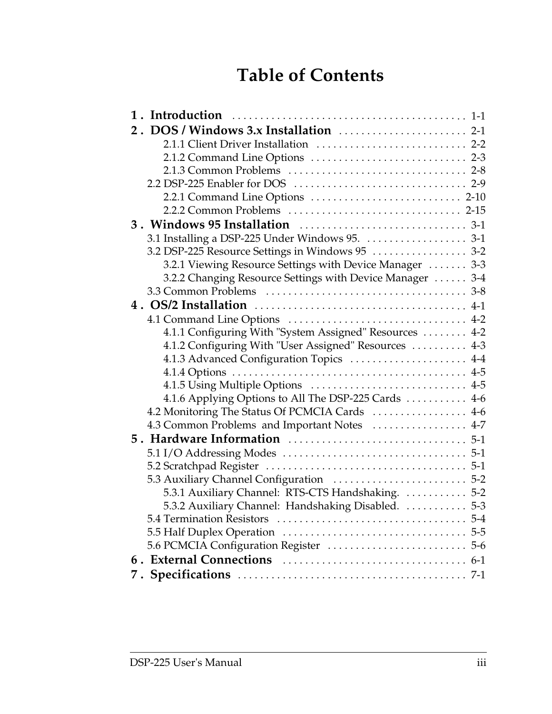# **Table of Contents**

| 2. DOS / Windows 3.x Installation  2-1                    |         |
|-----------------------------------------------------------|---------|
| 2.1.1 Client Driver Installation  2-2                     |         |
|                                                           |         |
|                                                           |         |
|                                                           |         |
|                                                           |         |
|                                                           |         |
|                                                           |         |
| 3.1 Installing a DSP-225 Under Windows 95.  3-1           |         |
| 3.2 DSP-225 Resource Settings in Windows 95  3-2          |         |
| 3.2.1 Viewing Resource Settings with Device Manager  3-3  |         |
| 3.2.2 Changing Resource Settings with Device Manager  3-4 |         |
|                                                           |         |
|                                                           |         |
|                                                           |         |
| 4.1.1 Configuring With "System Assigned" Resources  4-2   |         |
| 4.1.2 Configuring With "User Assigned" Resources  4-3     |         |
| 4.1.3 Advanced Configuration Topics  4-4                  |         |
|                                                           |         |
| 4.1.5 Using Multiple Options  4-5                         |         |
| 4.1.6 Applying Options to All The DSP-225 Cards  4-6      |         |
| 4.2 Monitoring The Status Of PCMCIA Cards  4-6            |         |
| 4.3 Common Problems and Important Notes  4-7              |         |
|                                                           |         |
|                                                           |         |
|                                                           |         |
| 5.3 Auxiliary Channel Configuration  5-2                  |         |
| 5.3.1 Auxiliary Channel: RTS-CTS Handshaking.  5-2        |         |
| 5.3.2 Auxiliary Channel: Handshaking Disabled.  5-3       |         |
|                                                           | $5 - 5$ |
|                                                           |         |
|                                                           |         |
|                                                           |         |
|                                                           |         |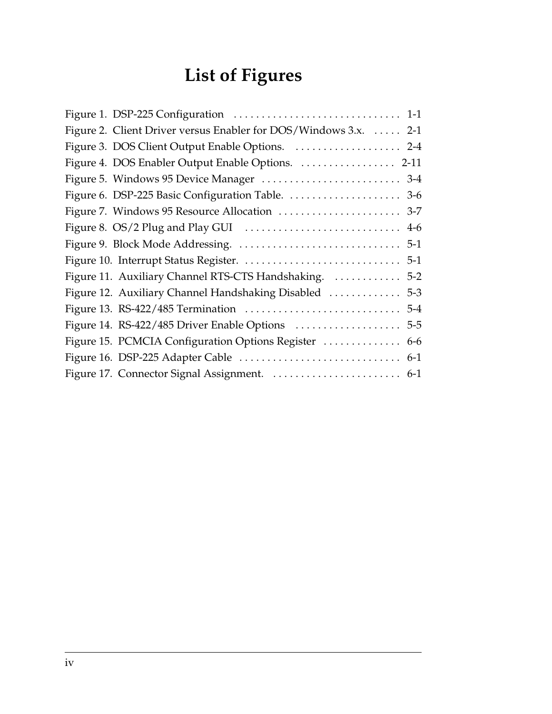# **List of Figures**

| Figure 2. Client Driver versus Enabler for DOS/Windows 3.x.  2-1 |
|------------------------------------------------------------------|
| Figure 3. DOS Client Output Enable Options.  2-4                 |
| Figure 4. DOS Enabler Output Enable Options.  2-11               |
|                                                                  |
|                                                                  |
|                                                                  |
|                                                                  |
|                                                                  |
|                                                                  |
| Figure 11. Auxiliary Channel RTS-CTS Handshaking.  5-2           |
| Figure 12. Auxiliary Channel Handshaking Disabled  5-3           |
|                                                                  |
|                                                                  |
| Figure 15. PCMCIA Configuration Options Register  6-6            |
|                                                                  |
|                                                                  |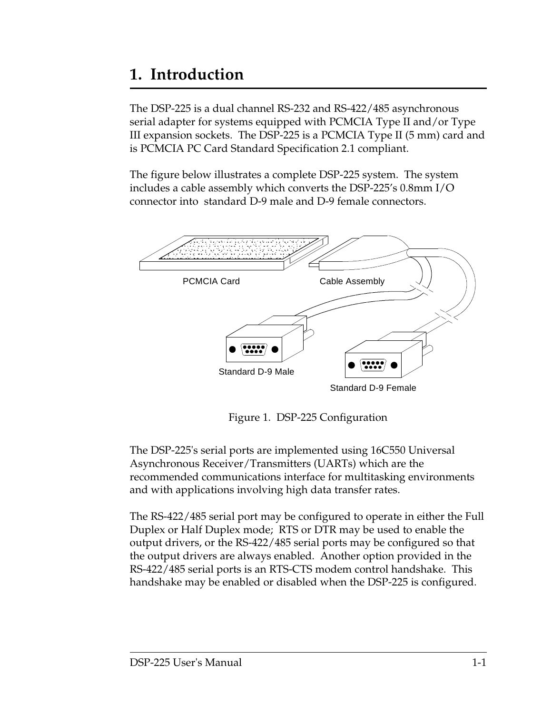# **1. Introduction**

The DSP-225 is a dual channel RS-232 and RS-422/485 asynchronous serial adapter for systems equipped with PCMCIA Type II and/or Type III expansion sockets. The DSP-225 is a PCMCIA Type II (5 mm) card and is PCMCIA PC Card Standard Specification 2.1 compliant.

The figure below illustrates a complete DSP-225 system. The system includes a cable assembly which converts the DSP-225's 0.8mm I/O connector into standard D-9 male and D-9 female connectors.



Figure 1. DSP-225 Configuration

The DSP-225's serial ports are implemented using 16C550 Universal Asynchronous Receiver/Transmitters (UARTs) which are the recommended communications interface for multitasking environments and with applications involving high data transfer rates.

The RS-422/485 serial port may be configured to operate in either the Full Duplex or Half Duplex mode; RTS or DTR may be used to enable the output drivers, or the RS-422/485 serial ports may be configured so that the output drivers are always enabled. Another option provided in the RS-422/485 serial ports is an RTS-CTS modem control handshake. This handshake may be enabled or disabled when the DSP-225 is configured.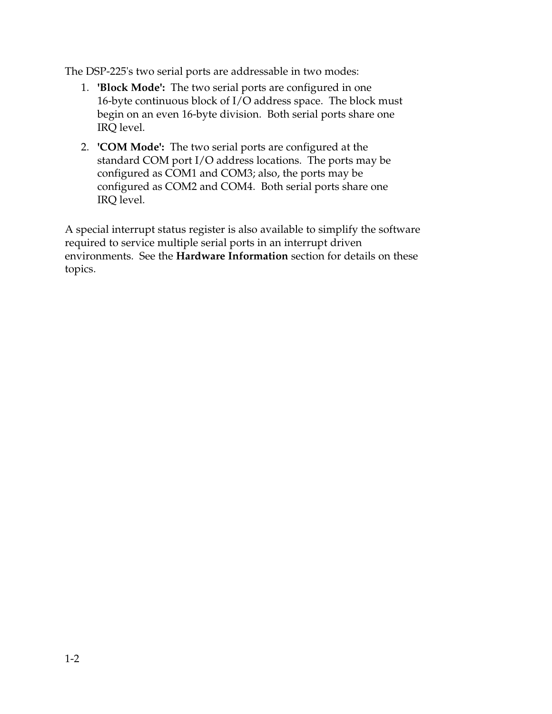The DSP-225's two serial ports are addressable in two modes:

- 1. **'Block Mode':** The two serial ports are configured in one 16-byte continuous block of I/O address space. The block must begin on an even 16-byte division. Both serial ports share one IRQ level.
- 2. **'COM Mode':** The two serial ports are configured at the standard COM port I/O address locations. The ports may be configured as COM1 and COM3; also, the ports may be configured as COM2 and COM4. Both serial ports share one IRQ level.

A special interrupt status register is also available to simplify the software required to service multiple serial ports in an interrupt driven environments. See the **Hardware Information** section for details on these topics.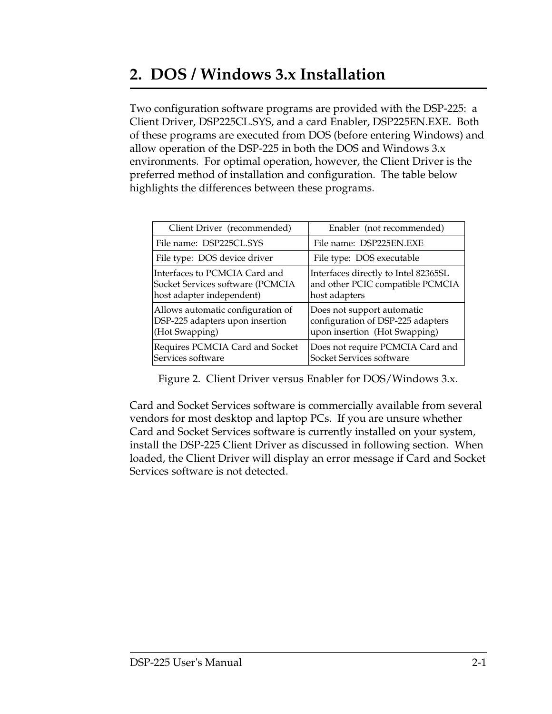# **2. DOS / Windows 3.x Installation**

Two configuration software programs are provided with the DSP-225: a Client Driver, DSP225CL.SYS, and a card Enabler, DSP225EN.EXE. Both of these programs are executed from DOS (before entering Windows) and allow operation of the DSP-225 in both the DOS and Windows 3.x environments. For optimal operation, however, the Client Driver is the preferred method of installation and configuration. The table below highlights the differences between these programs.

| Client Driver (recommended)       | Enabler (not recommended)            |
|-----------------------------------|--------------------------------------|
| File name: DSP225CL.SYS           | File name: DSP225EN.EXE              |
| File type: DOS device driver      | File type: DOS executable            |
| Interfaces to PCMCIA Card and     | Interfaces directly to Intel 82365SL |
| Socket Services software (PCMCIA  | and other PCIC compatible PCMCIA     |
| host adapter independent)         | host adapters                        |
| Allows automatic configuration of | Does not support automatic           |
| DSP-225 adapters upon insertion   | configuration of DSP-225 adapters    |
| (Hot Swapping)                    | upon insertion (Hot Swapping)        |
| Requires PCMCIA Card and Socket   | Does not require PCMCIA Card and     |
| Services software                 | Socket Services software             |

Figure 2. Client Driver versus Enabler for DOS/Windows 3.x.

Card and Socket Services software is commercially available from several vendors for most desktop and laptop PCs. If you are unsure whether Card and Socket Services software is currently installed on your system, install the DSP-225 Client Driver as discussed in following section. When loaded, the Client Driver will display an error message if Card and Socket Services software is not detected.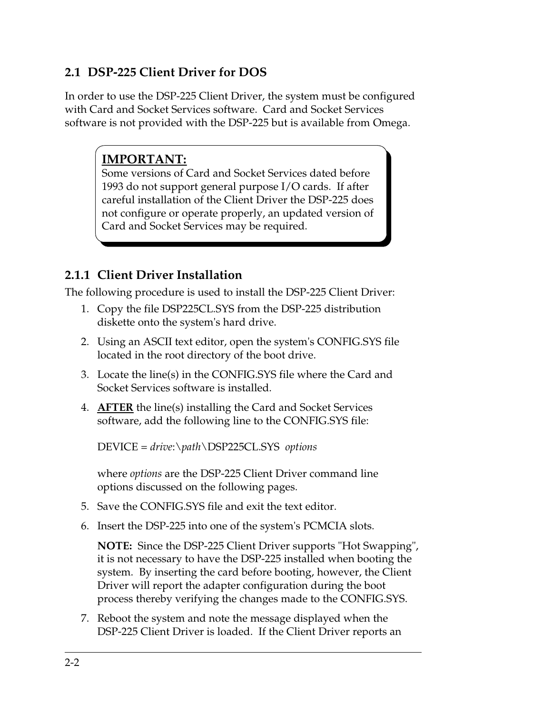### **2.1 DSP-225 Client Driver for DOS**

In order to use the DSP-225 Client Driver, the system must be configured with Card and Socket Services software. Card and Socket Services software is not provided with the DSP-225 but is available from Omega.

#### **IMPORTANT:**

Some versions of Card and Socket Services dated before 1993 do not support general purpose I/O cards. If after careful installation of the Client Driver the DSP-225 does not configure or operate properly, an updated version of Card and Socket Services may be required.

### **2.1.1 Client Driver Installation**

The following procedure is used to install the DSP-225 Client Driver:

- 1. Copy the file DSP225CL.SYS from the DSP-225 distribution diskette onto the system's hard drive.
- 2. Using an ASCII text editor, open the system's CONFIG.SYS file located in the root directory of the boot drive.
- 3. Locate the line(s) in the CONFIG.SYS file where the Card and Socket Services software is installed.
- 4. **AFTER** the line(s) installing the Card and Socket Services software, add the following line to the CONFIG.SYS file:

DEVICE = *drive*:\*path*\DSP225CL.SYS *options*

where *options* are the DSP-225 Client Driver command line options discussed on the following pages.

- 5. Save the CONFIG.SYS file and exit the text editor.
- 6. Insert the DSP-225 into one of the system's PCMCIA slots.

**NOTE:** Since the DSP-225 Client Driver supports "Hot Swapping", it is not necessary to have the DSP-225 installed when booting the system. By inserting the card before booting, however, the Client Driver will report the adapter configuration during the boot process thereby verifying the changes made to the CONFIG.SYS.

7. Reboot the system and note the message displayed when the DSP-225 Client Driver is loaded. If the Client Driver reports an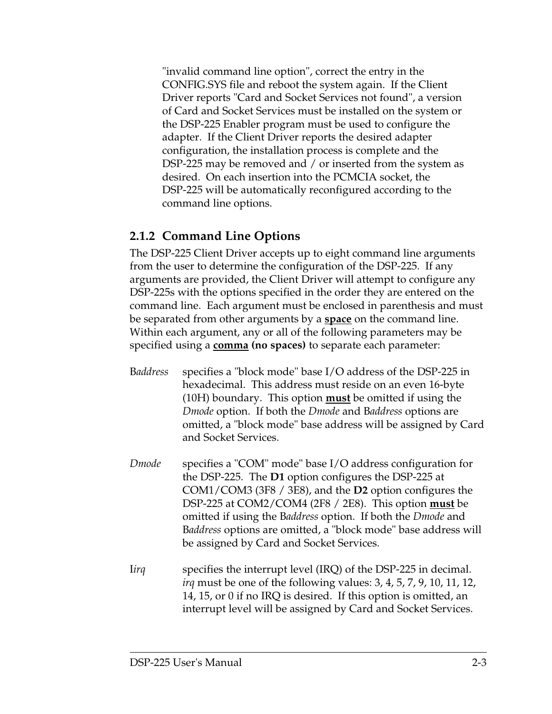"invalid command line option", correct the entry in the CONFIG.SYS file and reboot the system again. If the Client Driver reports "Card and Socket Services not found", a version of Card and Socket Services must be installed on the system or the DSP-225 Enabler program must be used to configure the adapter. If the Client Driver reports the desired adapter configuration, the installation process is complete and the DSP-225 may be removed and / or inserted from the system as desired. On each insertion into the PCMCIA socket, the DSP-225 will be automatically reconfigured according to the command line options.

### **2.1.2 Command Line Options**

The DSP-225 Client Driver accepts up to eight command line arguments from the user to determine the configuration of the DSP-225. If any arguments are provided, the Client Driver will attempt to configure any DSP-225s with the options specified in the order they are entered on the command line. Each argument must be enclosed in parenthesis and must be separated from other arguments by a **space** on the command line. Within each argument, any or all of the following parameters may be specified using a **comma (no spaces)** to separate each parameter:

- B*address* specifies a "block mode" base I/O address of the DSP-225 in hexadecimal. This address must reside on an even 16-byte (10H) boundary. This option **must** be omitted if using the *Dmode* option. If both the *Dmode* and B*address* options are omitted, a "block mode" base address will be assigned by Card and Socket Services.
- *Dmode* specifies a "COM" mode" base I/O address configuration for the DSP-225. The **D1** option configures the DSP-225 at COM1/COM3 (3F8 / 3E8), and the **D2** option configures the DSP-225 at COM2/COM4 (2F8 / 2E8). This option **must** be omitted if using the B*address* option. If both the *Dmode* and B*address* options are omitted, a "block mode" base address will be assigned by Card and Socket Services.
- I*irq* specifies the interrupt level (IRQ) of the DSP-225 in decimal. *irq* must be one of the following values: 3, 4, 5, 7, 9, 10, 11, 12, 14, 15, or 0 if no IRQ is desired. If this option is omitted, an interrupt level will be assigned by Card and Socket Services.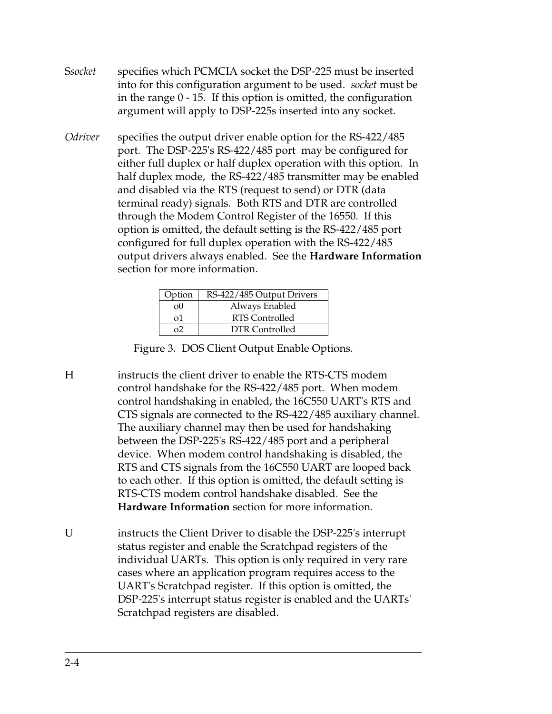- Ssocket specifies which PCMCIA socket the DSP-225 must be inserted into for this configuration argument to be used. *socket* must be in the range 0 - 15. If this option is omitted, the configuration argument will apply to DSP-225s inserted into any socket.
- *Odriver* specifies the output driver enable option for the RS-422/485 port. The DSP-225's RS-422/485 port may be configured for either full duplex or half duplex operation with this option. In half duplex mode, the RS-422/485 transmitter may be enabled and disabled via the RTS (request to send) or DTR (data terminal ready) signals. Both RTS and DTR are controlled through the Modem Control Register of the 16550. If this option is omitted, the default setting is the RS-422/485 port configured for full duplex operation with the RS-422/485 output drivers always enabled. See the **Hardware Information** section for more information.

| Option | RS-422/485 Output Drivers |
|--------|---------------------------|
| പി     | Always Enabled            |
| ΩĪ     | RTS Controlled            |
|        | DTR Controlled            |

Figure 3. DOS Client Output Enable Options.

- H instructs the client driver to enable the RTS-CTS modem control handshake for the RS-422/485 port. When modem control handshaking in enabled, the 16C550 UART's RTS and CTS signals are connected to the RS-422/485 auxiliary channel. The auxiliary channel may then be used for handshaking between the DSP-225's RS-422/485 port and a peripheral device. When modem control handshaking is disabled, the RTS and CTS signals from the 16C550 UART are looped back to each other. If this option is omitted, the default setting is RTS-CTS modem control handshake disabled. See the **Hardware Information** section for more information.
- U instructs the Client Driver to disable the DSP-225's interrupt status register and enable the Scratchpad registers of the individual UARTs. This option is only required in very rare cases where an application program requires access to the UART's Scratchpad register. If this option is omitted, the DSP-225's interrupt status register is enabled and the UARTs' Scratchpad registers are disabled.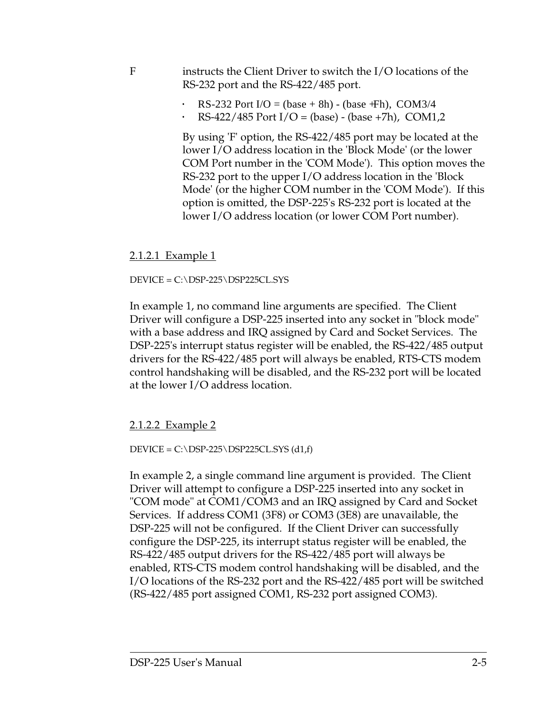- F instructs the Client Driver to switch the I/O locations of the RS-232 port and the RS-422/485 port.
	- RS-232 Port I/O = (base + 8h) (base + Fh), COM3/4
	- $RS-422/485$  Port I/O = (base) (base +7h), COM1,2

 By using 'F' option, the RS-422/485 port may be located at the lower I/O address location in the 'Block Mode' (or the lower COM Port number in the 'COM Mode'). This option moves the RS-232 port to the upper I/O address location in the 'Block Mode' (or the higher COM number in the 'COM Mode'). If this option is omitted, the DSP-225's RS-232 port is located at the lower I/O address location (or lower COM Port number).

#### 2.1.2.1 Example 1

DEVICE = C:\DSP-225\DSP225CL.SYS

In example 1, no command line arguments are specified. The Client Driver will configure a DSP-225 inserted into any socket in "block mode" with a base address and IRQ assigned by Card and Socket Services. The DSP-225's interrupt status register will be enabled, the RS-422/485 output drivers for the RS-422/485 port will always be enabled, RTS-CTS modem control handshaking will be disabled, and the RS-232 port will be located at the lower I/O address location.

#### 2.1.2.2 Example 2

DEVICE =  $C:\D{PSP-225\D{SP225CL.SYS (d1,f)}}$ 

In example 2, a single command line argument is provided. The Client Driver will attempt to configure a DSP-225 inserted into any socket in "COM mode" at COM1/COM3 and an IRQ assigned by Card and Socket Services. If address COM1 (3F8) or COM3 (3E8) are unavailable, the DSP-225 will not be configured. If the Client Driver can successfully configure the DSP-225, its interrupt status register will be enabled, the RS-422/485 output drivers for the RS-422/485 port will always be enabled, RTS-CTS modem control handshaking will be disabled, and the I/O locations of the RS-232 port and the RS-422/485 port will be switched (RS-422/485 port assigned COM1, RS-232 port assigned COM3).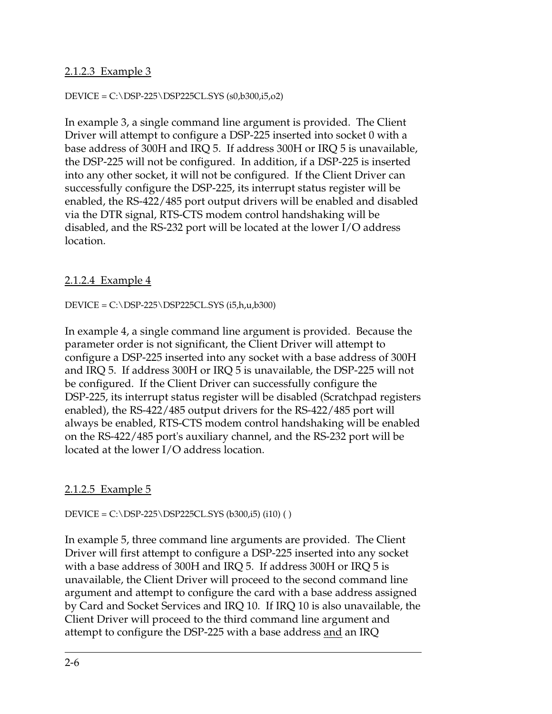#### 2.1.2.3 Example 3

#### DEVICE = C:\DSP-225\DSP225CL.SYS (s0,b300,i5,o2)

In example 3, a single command line argument is provided. The Client Driver will attempt to configure a DSP-225 inserted into socket 0 with a base address of 300H and IRQ 5. If address 300H or IRQ 5 is unavailable, the DSP-225 will not be configured. In addition, if a DSP-225 is inserted into any other socket, it will not be configured. If the Client Driver can successfully configure the DSP-225, its interrupt status register will be enabled, the RS-422/485 port output drivers will be enabled and disabled via the DTR signal, RTS-CTS modem control handshaking will be disabled, and the RS-232 port will be located at the lower I/O address location.

#### 2.1.2.4 Example 4

#### DEVICE = C:\DSP-225\DSP225CL.SYS (i5,h,u,b300)

In example 4, a single command line argument is provided. Because the parameter order is not significant, the Client Driver will attempt to configure a DSP-225 inserted into any socket with a base address of 300H and IRQ 5. If address 300H or IRQ 5 is unavailable, the DSP-225 will not be configured. If the Client Driver can successfully configure the DSP-225, its interrupt status register will be disabled (Scratchpad registers enabled), the RS-422/485 output drivers for the RS-422/485 port will always be enabled, RTS-CTS modem control handshaking will be enabled on the RS-422/485 port's auxiliary channel, and the RS-232 port will be located at the lower I/O address location.

#### 2.1.2.5 Example 5

DEVICE = C:\DSP-225\DSP225CL.SYS (b300,i5) (i10) ( )

In example 5, three command line arguments are provided. The Client Driver will first attempt to configure a DSP-225 inserted into any socket with a base address of 300H and IRQ 5. If address 300H or IRQ 5 is unavailable, the Client Driver will proceed to the second command line argument and attempt to configure the card with a base address assigned by Card and Socket Services and IRQ 10. If IRQ 10 is also unavailable, the Client Driver will proceed to the third command line argument and attempt to configure the DSP-225 with a base address and an IRQ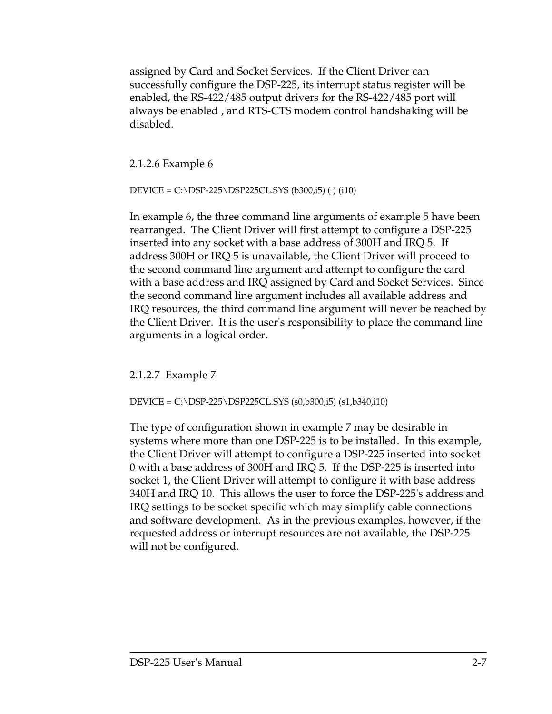assigned by Card and Socket Services. If the Client Driver can successfully configure the DSP-225, its interrupt status register will be enabled, the RS-422/485 output drivers for the RS-422/485 port will always be enabled , and RTS-CTS modem control handshaking will be disabled.

2.1.2.6 Example 6

 $DEVICE = C:\DBP-225\DBP225CL.SYS (b300,i5)$  ( ) (i10)

In example 6, the three command line arguments of example 5 have been rearranged. The Client Driver will first attempt to configure a DSP-225 inserted into any socket with a base address of 300H and IRQ 5. If address 300H or IRQ 5 is unavailable, the Client Driver will proceed to the second command line argument and attempt to configure the card with a base address and IRQ assigned by Card and Socket Services. Since the second command line argument includes all available address and IRQ resources, the third command line argument will never be reached by the Client Driver. It is the user's responsibility to place the command line arguments in a logical order.

2.1.2.7 Example 7

DEVICE = C:\DSP-225\DSP225CL.SYS (s0,b300,i5) (s1,b340,i10)

The type of configuration shown in example 7 may be desirable in systems where more than one DSP-225 is to be installed. In this example, the Client Driver will attempt to configure a DSP-225 inserted into socket 0 with a base address of 300H and IRQ 5. If the DSP-225 is inserted into socket 1, the Client Driver will attempt to configure it with base address 340H and IRQ 10. This allows the user to force the DSP-225's address and IRQ settings to be socket specific which may simplify cable connections and software development. As in the previous examples, however, if the requested address or interrupt resources are not available, the DSP-225 will not be configured.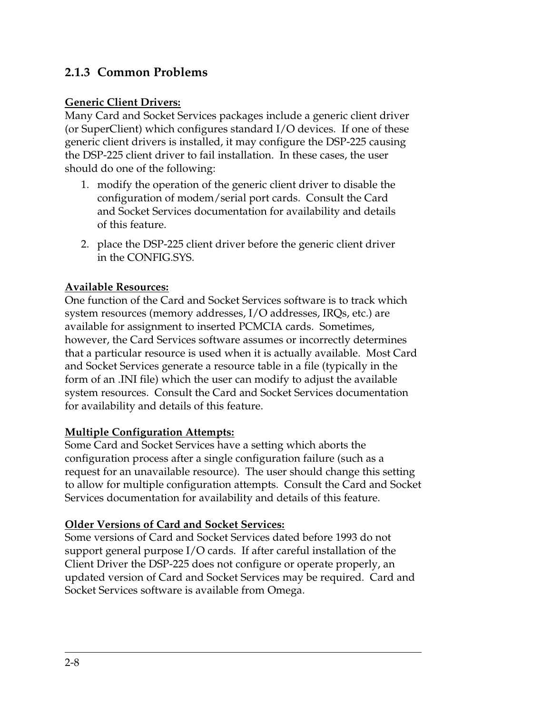#### **2.1.3 Common Problems**

#### **Generic Client Drivers:**

Many Card and Socket Services packages include a generic client driver (or SuperClient) which configures standard I/O devices. If one of these generic client drivers is installed, it may configure the DSP-225 causing the DSP-225 client driver to fail installation. In these cases, the user should do one of the following:

- 1. modify the operation of the generic client driver to disable the configuration of modem/serial port cards. Consult the Card and Socket Services documentation for availability and details of this feature.
- 2. place the DSP-225 client driver before the generic client driver in the CONFIG.SYS.

#### **Available Resources:**

One function of the Card and Socket Services software is to track which system resources (memory addresses, I/O addresses, IRQs, etc.) are available for assignment to inserted PCMCIA cards. Sometimes, however, the Card Services software assumes or incorrectly determines that a particular resource is used when it is actually available. Most Card and Socket Services generate a resource table in a file (typically in the form of an .INI file) which the user can modify to adjust the available system resources. Consult the Card and Socket Services documentation for availability and details of this feature.

#### **Multiple Configuration Attempts:**

Some Card and Socket Services have a setting which aborts the configuration process after a single configuration failure (such as a request for an unavailable resource). The user should change this setting to allow for multiple configuration attempts. Consult the Card and Socket Services documentation for availability and details of this feature.

#### **Older Versions of Card and Socket Services:**

Some versions of Card and Socket Services dated before 1993 do not support general purpose I/O cards. If after careful installation of the Client Driver the DSP-225 does not configure or operate properly, an updated version of Card and Socket Services may be required. Card and Socket Services software is available from Omega.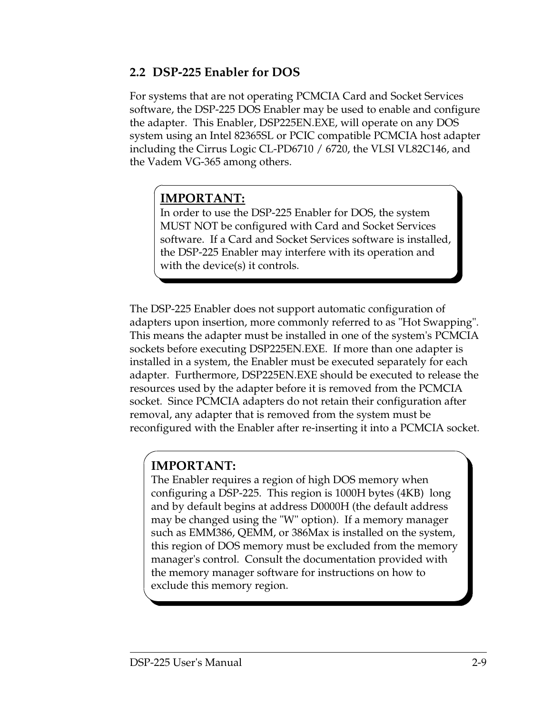### **2.2 DSP-225 Enabler for DOS**

For systems that are not operating PCMCIA Card and Socket Services software, the DSP-225 DOS Enabler may be used to enable and configure the adapter. This Enabler, DSP225EN.EXE, will operate on any DOS system using an Intel 82365SL or PCIC compatible PCMCIA host adapter including the Cirrus Logic CL-PD6710 / 6720, the VLSI VL82C146, and the Vadem VG-365 among others.

### **IMPORTANT:**

In order to use the DSP-225 Enabler for DOS, the system MUST NOT be configured with Card and Socket Services software. If a Card and Socket Services software is installed, the DSP-225 Enabler may interfere with its operation and with the device(s) it controls.

The DSP-225 Enabler does not support automatic configuration of adapters upon insertion, more commonly referred to as "Hot Swapping". This means the adapter must be installed in one of the system's PCMCIA sockets before executing DSP225EN.EXE. If more than one adapter is installed in a system, the Enabler must be executed separately for each adapter. Furthermore, DSP225EN.EXE should be executed to release the resources used by the adapter before it is removed from the PCMCIA socket. Since PCMCIA adapters do not retain their configuration after removal, any adapter that is removed from the system must be reconfigured with the Enabler after re-inserting it into a PCMCIA socket.

### **IMPORTANT:**

The Enabler requires a region of high DOS memory when configuring a DSP-225. This region is 1000H bytes (4KB) long and by default begins at address D0000H (the default address may be changed using the "W" option). If a memory manager such as EMM386, QEMM, or 386Max is installed on the system, this region of DOS memory must be excluded from the memory manager's control. Consult the documentation provided with the memory manager software for instructions on how to exclude this memory region.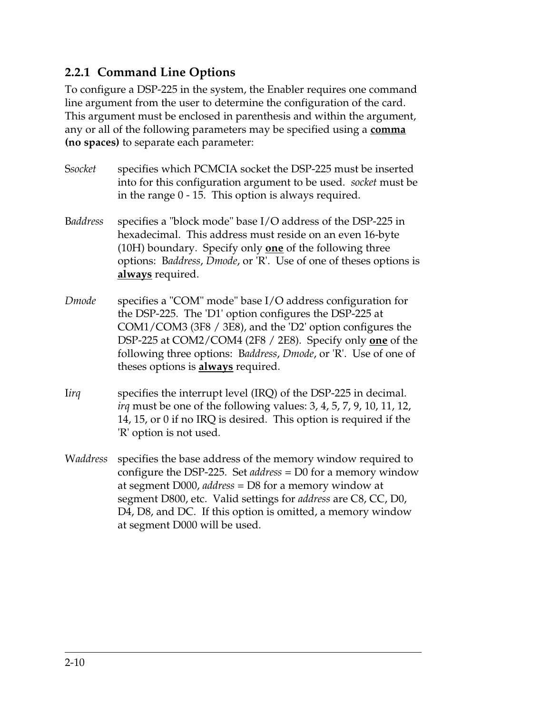### **2.2.1 Command Line Options**

To configure a DSP-225 in the system, the Enabler requires one command line argument from the user to determine the configuration of the card. This argument must be enclosed in parenthesis and within the argument, any or all of the following parameters may be specified using a **comma (no spaces)** to separate each parameter:

- Ssocket specifies which PCMCIA socket the DSP-225 must be inserted into for this configuration argument to be used. *socket* must be in the range 0 - 15. This option is always required.
- B*address* specifies a "block mode" base I/O address of the DSP-225 in hexadecimal. This address must reside on an even 16-byte (10H) boundary. Specify only **one** of the following three options: B*address*, *Dmode*, or 'R'. Use of one of theses options is **always** required.
- *Dmode* specifies a "COM" mode" base I/O address configuration for the DSP-225. The 'D1' option configures the DSP-225 at COM1/COM3 (3F8 / 3E8), and the 'D2' option configures the DSP-225 at COM2/COM4 (2F8 / 2E8). Specify only **one** of the following three options: B*address*, *Dmode*, or 'R'. Use of one of theses options is **always** required.
- I*irq* specifies the interrupt level (IRQ) of the DSP-225 in decimal. *irq* must be one of the following values: 3, 4, 5, 7, 9, 10, 11, 12, 14, 15, or 0 if no IRQ is desired. This option is required if the 'R' option is not used.
- W*address* specifies the base address of the memory window required to configure the DSP-225. Set *address* = D0 for a memory window at segment D000, *address* = D8 for a memory window at segment D800, etc. Valid settings for *address* are C8, CC, D0, D4, D8, and DC. If this option is omitted, a memory window at segment D000 will be used.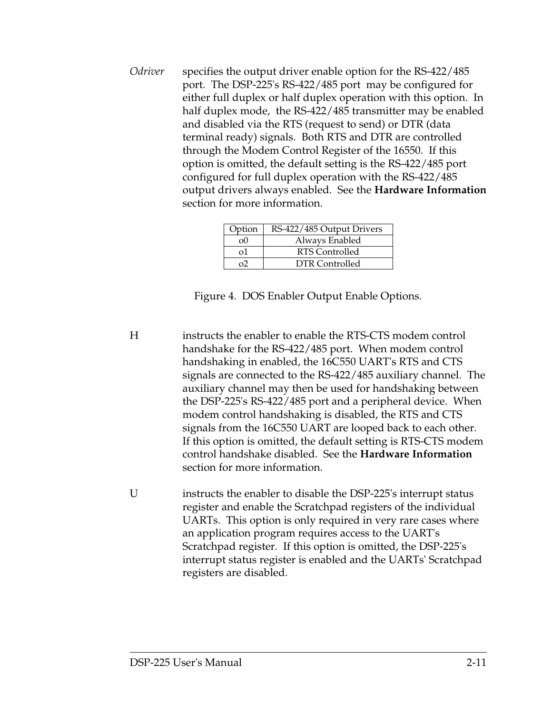*Odriver* specifies the output driver enable option for the RS-422/485 port. The DSP-225's RS-422/485 port may be configured for either full duplex or half duplex operation with this option. In half duplex mode, the RS-422/485 transmitter may be enabled and disabled via the RTS (request to send) or DTR (data terminal ready) signals. Both RTS and DTR are controlled through the Modem Control Register of the 16550. If this option is omitted, the default setting is the RS-422/485 port configured for full duplex operation with the RS-422/485 output drivers always enabled. See the **Hardware Information** section for more information.

| Option   | RS-422/485 Output Drivers |  |  |
|----------|---------------------------|--|--|
| $\Omega$ | Always Enabled            |  |  |
| ი1       | RTS Controlled            |  |  |
|          | DTR Controlled            |  |  |

Figure 4. DOS Enabler Output Enable Options.

- H instructs the enabler to enable the RTS-CTS modem control handshake for the RS-422/485 port. When modem control handshaking in enabled, the 16C550 UART's RTS and CTS signals are connected to the RS-422/485 auxiliary channel. The auxiliary channel may then be used for handshaking between the DSP-225's RS-422/485 port and a peripheral device. When modem control handshaking is disabled, the RTS and CTS signals from the 16C550 UART are looped back to each other. If this option is omitted, the default setting is RTS-CTS modem control handshake disabled. See the **Hardware Information** section for more information.
	- U instructs the enabler to disable the DSP-225's interrupt status register and enable the Scratchpad registers of the individual UARTs. This option is only required in very rare cases where an application program requires access to the UART's Scratchpad register. If this option is omitted, the DSP-225's interrupt status register is enabled and the UARTs' Scratchpad registers are disabled.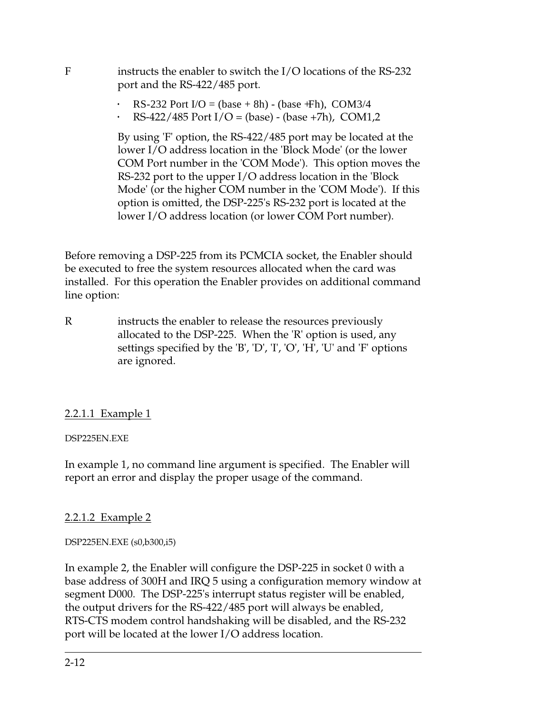- F instructs the enabler to switch the I/O locations of the RS-232 port and the RS-422/485 port.
	- RS-232 Port I/O = (base + 8h) (base + Fh), COM3/4
	- RS-422/485 Port I/O = (base) (base +7h), COM1,2

 By using 'F' option, the RS-422/485 port may be located at the lower I/O address location in the 'Block Mode' (or the lower COM Port number in the 'COM Mode'). This option moves the RS-232 port to the upper I/O address location in the 'Block Mode' (or the higher COM number in the 'COM Mode'). If this option is omitted, the DSP-225's RS-232 port is located at the lower I/O address location (or lower COM Port number).

Before removing a DSP-225 from its PCMCIA socket, the Enabler should be executed to free the system resources allocated when the card was installed. For this operation the Enabler provides on additional command line option:

R instructs the enabler to release the resources previously allocated to the DSP-225. When the 'R' option is used, any settings specified by the 'B', 'D', 'I', 'O', 'H', 'U' and 'F' options are ignored.

#### 2.2.1.1 Example 1

#### DSP225EN.EXE

In example 1, no command line argument is specified. The Enabler will report an error and display the proper usage of the command.

#### 2.2.1.2 Example 2

#### DSP225EN.EXE (s0,b300,i5)

In example 2, the Enabler will configure the DSP-225 in socket 0 with a base address of 300H and IRQ 5 using a configuration memory window at segment D000. The DSP-225's interrupt status register will be enabled, the output drivers for the RS-422/485 port will always be enabled, RTS-CTS modem control handshaking will be disabled, and the RS-232 port will be located at the lower I/O address location.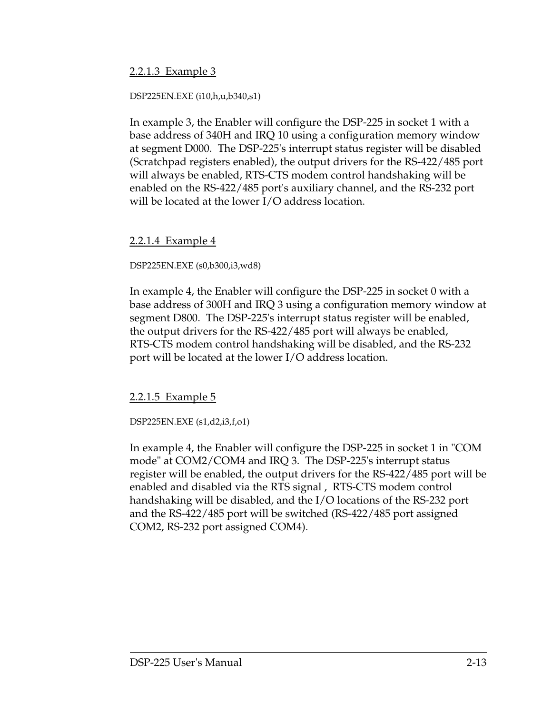2.2.1.3 Example 3

#### DSP225EN.EXE (i10,h,u,b340,s1)

In example 3, the Enabler will configure the DSP-225 in socket 1 with a base address of 340H and IRQ 10 using a configuration memory window at segment D000. The DSP-225's interrupt status register will be disabled (Scratchpad registers enabled), the output drivers for the RS-422/485 port will always be enabled, RTS-CTS modem control handshaking will be enabled on the RS-422/485 port's auxiliary channel, and the RS-232 port will be located at the lower I/O address location.

#### 2.2.1.4 Example 4

#### DSP225EN.EXE (s0,b300,i3,wd8)

In example 4, the Enabler will configure the DSP-225 in socket 0 with a base address of 300H and IRQ 3 using a configuration memory window at segment D800. The DSP-225's interrupt status register will be enabled, the output drivers for the RS-422/485 port will always be enabled, RTS-CTS modem control handshaking will be disabled, and the RS-232 port will be located at the lower I/O address location.

2.2.1.5 Example 5

#### DSP225EN.EXE (s1,d2,i3,f,o1)

In example 4, the Enabler will configure the DSP-225 in socket 1 in "COM mode" at COM2/COM4 and IRQ 3. The DSP-225's interrupt status register will be enabled, the output drivers for the RS-422/485 port will be enabled and disabled via the RTS signal , RTS-CTS modem control handshaking will be disabled, and the I/O locations of the RS-232 port and the RS-422/485 port will be switched (RS-422/485 port assigned COM2, RS-232 port assigned COM4).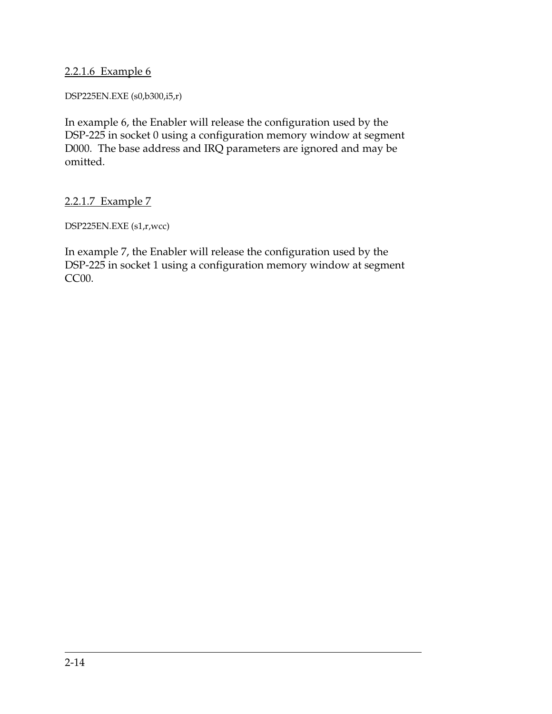#### 2.2.1.6 Example 6

#### DSP225EN.EXE (s0,b300,i5,r)

In example 6, the Enabler will release the configuration used by the DSP-225 in socket 0 using a configuration memory window at segment D000. The base address and IRQ parameters are ignored and may be omitted.

2.2.1.7 Example 7

DSP225EN.EXE (s1,r,wcc)

In example 7, the Enabler will release the configuration used by the DSP-225 in socket 1 using a configuration memory window at segment CC00.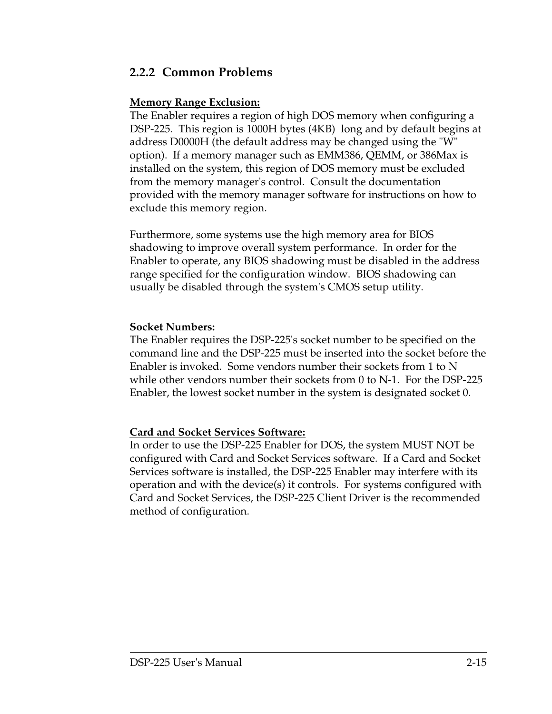### **2.2.2 Common Problems**

#### **Memory Range Exclusion:**

The Enabler requires a region of high DOS memory when configuring a DSP-225. This region is 1000H bytes (4KB) long and by default begins at address D0000H (the default address may be changed using the "W" option). If a memory manager such as EMM386, QEMM, or 386Max is installed on the system, this region of DOS memory must be excluded from the memory manager's control. Consult the documentation provided with the memory manager software for instructions on how to exclude this memory region.

Furthermore, some systems use the high memory area for BIOS shadowing to improve overall system performance. In order for the Enabler to operate, any BIOS shadowing must be disabled in the address range specified for the configuration window. BIOS shadowing can usually be disabled through the system's CMOS setup utility.

#### **Socket Numbers:**

The Enabler requires the DSP-225's socket number to be specified on the command line and the DSP-225 must be inserted into the socket before the Enabler is invoked. Some vendors number their sockets from 1 to N while other vendors number their sockets from 0 to N-1. For the DSP-225 Enabler, the lowest socket number in the system is designated socket 0.

#### **Card and Socket Services Software:**

In order to use the DSP-225 Enabler for DOS, the system MUST NOT be configured with Card and Socket Services software. If a Card and Socket Services software is installed, the DSP-225 Enabler may interfere with its operation and with the device(s) it controls. For systems configured with Card and Socket Services, the DSP-225 Client Driver is the recommended method of configuration.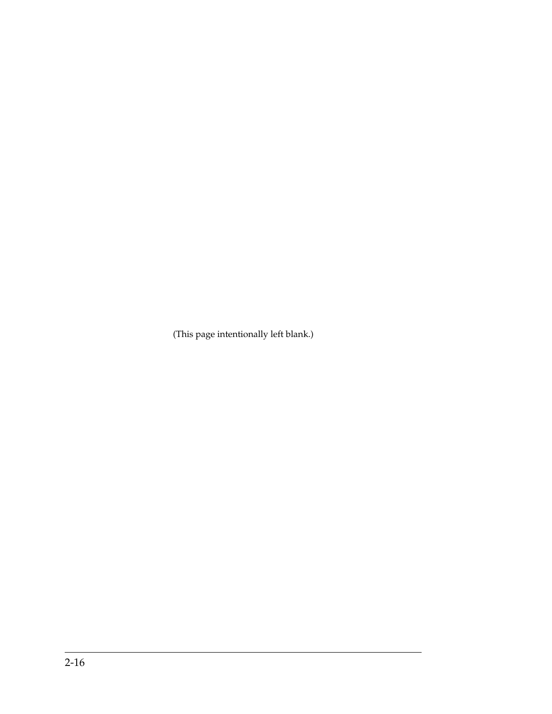(This page intentionally left blank.)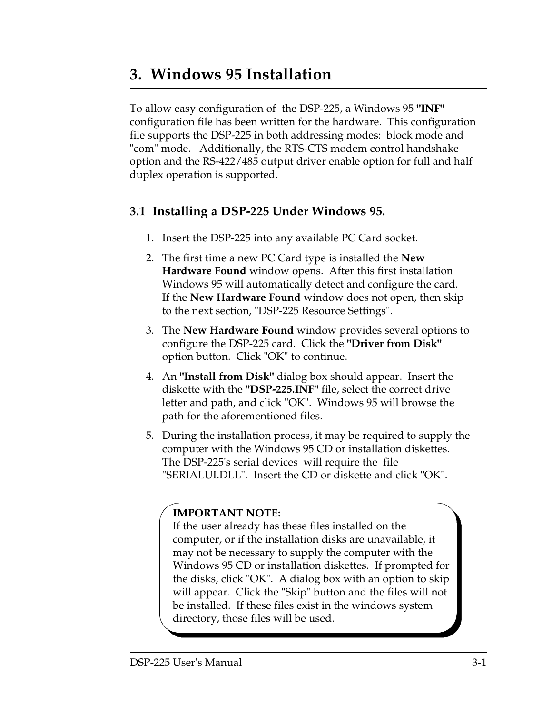# **3. Windows 95 Installation**

To allow easy configuration of the DSP-225, a Windows 95 **"INF"** configuration file has been written for the hardware. This configuration file supports the DSP-225 in both addressing modes: block mode and "com" mode. Additionally, the RTS-CTS modem control handshake option and the RS-422/485 output driver enable option for full and half duplex operation is supported.

### **3.1 Installing a DSP-225 Under Windows 95.**

- 1. Insert the DSP-225 into any available PC Card socket.
- 2. The first time a new PC Card type is installed the **New Hardware Found** window opens. After this first installation Windows 95 will automatically detect and configure the card. If the **New Hardware Found** window does not open, then skip to the next section, "DSP-225 Resource Settings".
- 3. The **New Hardware Found** window provides several options to configure the DSP-225 card. Click the **"Driver from Disk"** option button. Click "OK" to continue.
- 4. An **"Install from Disk"** dialog box should appear. Insert the diskette with the **"DSP-225.INF"** file, select the correct drive letter and path, and click "OK". Windows 95 will browse the path for the aforementioned files.
- 5. During the installation process, it may be required to supply the computer with the Windows 95 CD or installation diskettes. The DSP-225's serial devices will require the file "SERIALUI.DLL". Insert the CD or diskette and click "OK".

### **IMPORTANT NOTE:**

If the user already has these files installed on the computer, or if the installation disks are unavailable, it may not be necessary to supply the computer with the Windows 95 CD or installation diskettes. If prompted for the disks, click "OK". A dialog box with an option to skip will appear. Click the "Skip" button and the files will not be installed. If these files exist in the windows system directory, those files will be used.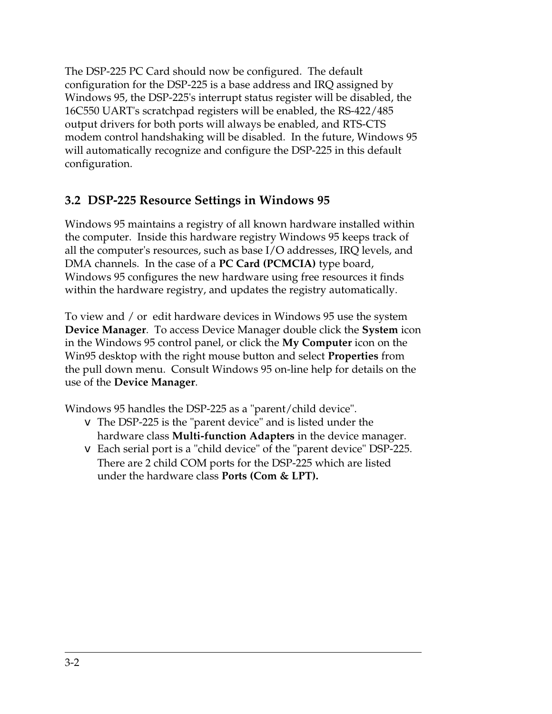The DSP-225 PC Card should now be configured. The default configuration for the DSP-225 is a base address and IRQ assigned by Windows 95, the DSP-225's interrupt status register will be disabled, the 16C550 UART's scratchpad registers will be enabled, the RS-422/485 output drivers for both ports will always be enabled, and RTS-CTS modem control handshaking will be disabled. In the future, Windows 95 will automatically recognize and configure the DSP-225 in this default configuration.

### **3.2 DSP-225 Resource Settings in Windows 95**

Windows 95 maintains a registry of all known hardware installed within the computer. Inside this hardware registry Windows 95 keeps track of all the computer's resources, such as base I/O addresses, IRQ levels, and DMA channels. In the case of a **PC Card (PCMCIA)** type board, Windows 95 configures the new hardware using free resources it finds within the hardware registry, and updates the registry automatically.

To view and / or edit hardware devices in Windows 95 use the system **Device Manager**. To access Device Manager double click the **System** icon in the Windows 95 control panel, or click the **My Computer** icon on the Win95 desktop with the right mouse button and select **Properties** from the pull down menu. Consult Windows 95 on-line help for details on the use of the **Device Manager**.

Windows 95 handles the DSP-225 as a "parent/child device".

- v The DSP-225 is the "parent device" and is listed under the hardware class **Multi-function Adapters** in the device manager.
- v Each serial port is a "child device" of the "parent device" DSP-225. There are 2 child COM ports for the DSP-225 which are listed under the hardware class **Ports (Com & LPT).**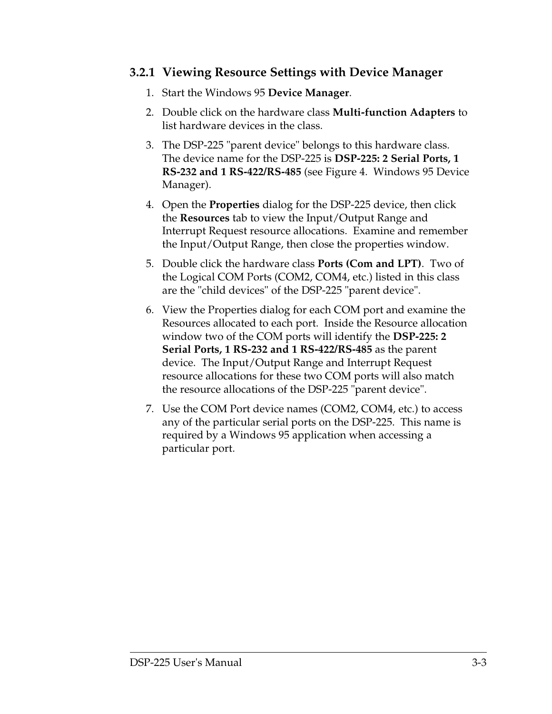#### **3.2.1 Viewing Resource Settings with Device Manager**

- 1. Start the Windows 95 **Device Manager**.
- 2. Double click on the hardware class **Multi-function Adapters** to list hardware devices in the class.
- 3. The DSP-225 "parent device" belongs to this hardware class. The device name for the DSP-225 is **DSP-225: 2 Serial Ports, 1 RS-232 and 1 RS-422/RS-485** (see Figure 4. Windows 95 Device Manager).
- 4. Open the **Properties** dialog for the DSP-225 device, then click the **Resources** tab to view the Input/Output Range and Interrupt Request resource allocations. Examine and remember the Input/Output Range, then close the properties window.
- 5. Double click the hardware class **Ports (Com and LPT)**. Two of the Logical COM Ports (COM2, COM4, etc.) listed in this class are the "child devices" of the DSP-225 "parent device".
- 6. View the Properties dialog for each COM port and examine the Resources allocated to each port. Inside the Resource allocation window two of the COM ports will identify the **DSP-225: 2 Serial Ports, 1 RS-232 and 1 RS-422/RS-485** as the parent device. The Input/Output Range and Interrupt Request resource allocations for these two COM ports will also match the resource allocations of the DSP-225 "parent device".
- 7. Use the COM Port device names (COM2, COM4, etc.) to access any of the particular serial ports on the DSP-225. This name is required by a Windows 95 application when accessing a particular port.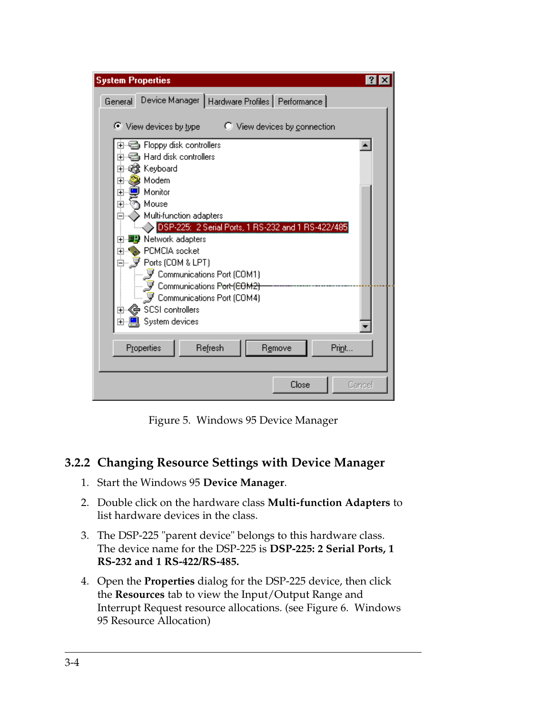| <b>System Properties</b><br>-? 1                              |
|---------------------------------------------------------------|
| Device Manager   Hardware Profiles   Performance  <br>General |
|                                                               |
| ⊙ View devices by type C View devices by connection           |
| § Floppy disk controllers<br>$\pm$                            |
| <b>马 Hard disk controllers</b><br>$\overline{\mathbf{r}}$     |
| --磴含 Keyboard<br>曱<br>Modem<br>$\overline{+}$                 |
| Monitor<br>$\overline{+}$                                     |
| ි Mouse<br>$\overline{+}$                                     |
| Multi-function adapters<br>-                                  |
| DSP-225: 2 Serial Ports, 1 RS-232 and 1 RS-422/485            |
| - <mark>国</mark> 部 Network adapters<br>ஈ<br>PCMCIA socket     |
| $\overline{\mathbf{H}}$<br>白… Sy Ports (COM & LPT)            |
| Communications Port (COM1)                                    |
| F Communications Port (COM2)                                  |
| Communications Port (COM4)                                    |
| l-«⊜ SCSI controllers<br>$\overline{\mathbf{H}}$              |
| <u>l</u> System devices<br>n <mark>L</mark>                   |
| Refresh<br>Properties<br>Print<br>Remove                      |
|                                                               |
|                                                               |
| Close<br>Cancel                                               |

Figure 5. Windows 95 Device Manager

### **3.2.2 Changing Resource Settings with Device Manager**

- 1. Start the Windows 95 **Device Manager**.
- 2. Double click on the hardware class **Multi-function Adapters** to list hardware devices in the class.
- 3. The DSP-225 "parent device" belongs to this hardware class. The device name for the DSP-225 is **DSP-225: 2 Serial Ports, 1 RS-232 and 1 RS-422/RS-485.**
- 4. Open the **Properties** dialog for the DSP-225 device, then click the **Resources** tab to view the Input/Output Range and Interrupt Request resource allocations. (see Figure 6. Windows 95 Resource Allocation)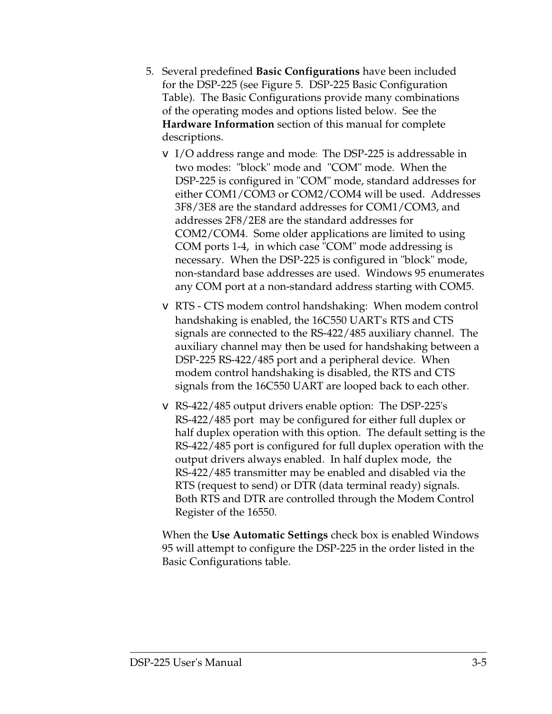- 5. Several predefined **Basic Configurations** have been included for the DSP-225 (see Figure 5. DSP-225 Basic Configuration Table). The Basic Configurations provide many combinations of the operating modes and options listed below. See the **Hardware Information** section of this manual for complete descriptions.
	- v I/O address range and mode: The DSP-225 is addressable in two modes: "block" mode and "COM" mode. When the DSP-225 is configured in "COM" mode, standard addresses for either COM1/COM3 or COM2/COM4 will be used. Addresses 3F8/3E8 are the standard addresses for COM1/COM3, and addresses 2F8/2E8 are the standard addresses for COM2/COM4. Some older applications are limited to using COM ports 1-4, in which case "COM" mode addressing is necessary. When the DSP-225 is configured in "block" mode, non-standard base addresses are used. Windows 95 enumerates any COM port at a non-standard address starting with COM5.
	- v RTS CTS modem control handshaking: When modem control handshaking is enabled, the 16C550 UART's RTS and CTS signals are connected to the RS-422/485 auxiliary channel. The auxiliary channel may then be used for handshaking between a DSP-225 RS-422/485 port and a peripheral device. When modem control handshaking is disabled, the RTS and CTS signals from the 16C550 UART are looped back to each other.
	- v RS-422/485 output drivers enable option: The DSP-225's RS-422/485 port may be configured for either full duplex or half duplex operation with this option. The default setting is the RS-422/485 port is configured for full duplex operation with the output drivers always enabled. In half duplex mode, the RS-422/485 transmitter may be enabled and disabled via the RTS (request to send) or DTR (data terminal ready) signals. Both RTS and DTR are controlled through the Modem Control Register of the 16550.

When the **Use Automatic Settings** check box is enabled Windows 95 will attempt to configure the DSP-225 in the order listed in the Basic Configurations table.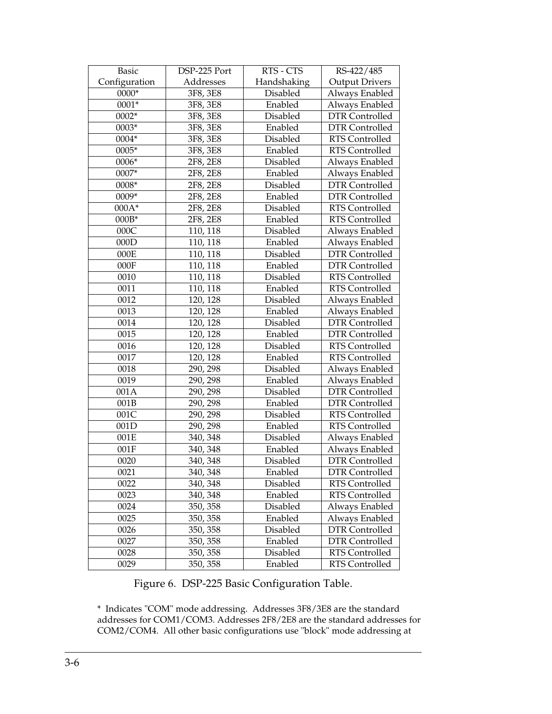| <b>Basic</b>  | DSP-225 Port             | RTS - CTS | RS-422/485            |  |
|---------------|--------------------------|-----------|-----------------------|--|
| Configuration | Addresses<br>Handshaking |           | <b>Output Drivers</b> |  |
| 0000*         | 3F8, 3E8                 | Disabled  | Always Enabled        |  |
| 0001*         | 3F8, 3E8                 | Enabled   | Always Enabled        |  |
| 0002*         | 3F8, 3E8                 | Disabled  | <b>DTR</b> Controlled |  |
| 0003*         | 3F8, 3E8                 | Enabled   | <b>DTR</b> Controlled |  |
| 0004*         | 3F8, 3E8                 | Disabled  | RTS Controlled        |  |
| 0005*         | 3F8, 3E8                 | Enabled   | <b>RTS</b> Controlled |  |
| 0006*         | 2F8, 2E8                 | Disabled  | Always Enabled        |  |
| 0007*         | 2F8, 2E8                 | Enabled   | Always Enabled        |  |
| 0008*         | 2F8, 2E8                 | Disabled  | <b>DTR</b> Controlled |  |
| 0009*         | 2F8, 2E8                 | Enabled   | <b>DTR</b> Controlled |  |
| $000A*$       | 2F8, 2E8                 | Disabled  | RTS Controlled        |  |
| $000B*$       | 2F8, 2E8                 | Enabled   | RTS Controlled        |  |
| 000C          | 110, 118                 | Disabled  | Always Enabled        |  |
| 000D          | 110, 118                 | Enabled   | Always Enabled        |  |
| 000E          | 110, 118                 | Disabled  | <b>DTR</b> Controlled |  |
| 000F          | 110, 118                 | Enabled   | <b>DTR</b> Controlled |  |
| 0010          | 110, 118                 | Disabled  | RTS Controlled        |  |
| 0011          | 110, 118                 | Enabled   | RTS Controlled        |  |
| 0012          | 120, 128                 | Disabled  | Always Enabled        |  |
| 0013          | 120, 128                 | Enabled   | Always Enabled        |  |
| 0014          | 120, 128                 | Disabled  | <b>DTR</b> Controlled |  |
| 0015          | 120, 128                 | Enabled   | <b>DTR</b> Controlled |  |
| 0016          | 120, 128                 | Disabled  | <b>RTS Controlled</b> |  |
| 0017          | 120, 128                 | Enabled   | RTS Controlled        |  |
| 0018          | 290, 298                 | Disabled  | Always Enabled        |  |
| 0019          | 290, 298                 | Enabled   | Always Enabled        |  |
| 001A          | 290, 298                 | Disabled  | <b>DTR</b> Controlled |  |
| 001B          | 290, 298                 | Enabled   | <b>DTR</b> Controlled |  |
| 001C          | 290, 298                 | Disabled  | <b>RTS</b> Controlled |  |
| 001D          | 290, 298                 | Enabled   | RTS Controlled        |  |
| 001E          | 340, 348                 | Disabled  | Always Enabled        |  |
| 001F          | 340, 348                 | Enabled   | Always Enabled        |  |
| 0020          | 340, 348                 | Disabled  | <b>DTR</b> Controlled |  |
| 0021          | 340, 348                 | Enabled   | <b>DTR</b> Controlled |  |
| 0022          | 340, 348                 | Disabled  | RTS Controlled        |  |
| 0023          | 340, 348                 | Enabled   | <b>RTS Controlled</b> |  |
| 0024          | 350, 358                 | Disabled  | Always Enabled        |  |
| 0025          | 350, 358                 | Enabled   | Always Enabled        |  |
| 0026          | 350, 358                 | Disabled  | <b>DTR Controlled</b> |  |
| 0027          | 350, 358                 | Enabled   | <b>DTR</b> Controlled |  |
| 0028          | 350, 358                 | Disabled  | <b>RTS</b> Controlled |  |
| 0029          | 350, 358                 | Enabled   | RTS Controlled        |  |

Figure 6. DSP-225 Basic Configuration Table.

\* Indicates "COM" mode addressing. Addresses 3F8/3E8 are the standard addresses for COM1/COM3. Addresses 2F8/2E8 are the standard addresses for COM2/COM4. All other basic configurations use "block" mode addressing at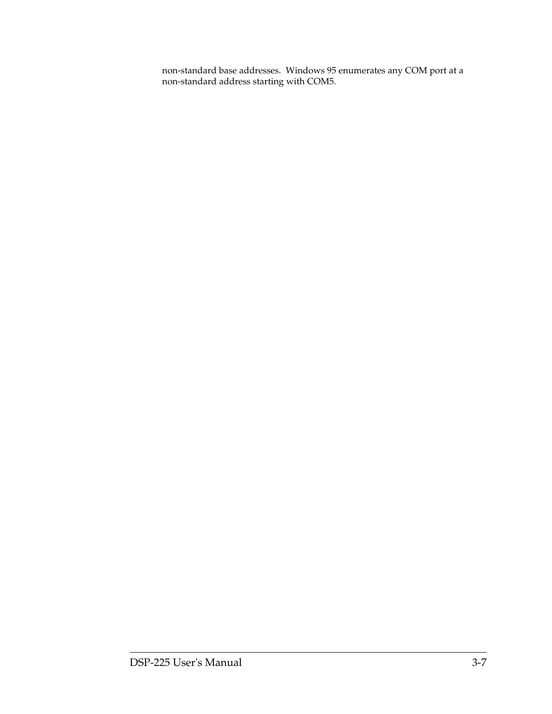non-standard base addresses. Windows 95 enumerates any COM port at a non-standard address starting with COM5.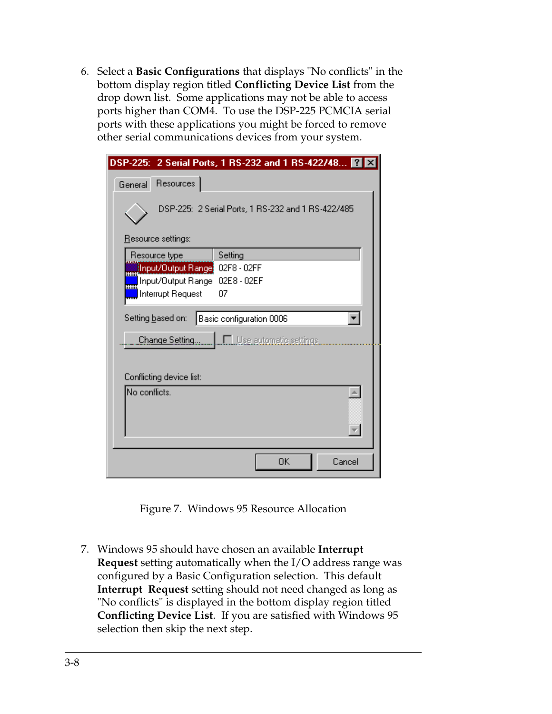6. Select a **Basic Configurations** that displays "No conflicts" in the bottom display region titled **Conflicting Device List** from the drop down list. Some applications may not be able to access ports higher than COM4. To use the DSP-225 PCMCIA serial ports with these applications you might be forced to remove other serial communications devices from your system.

|                                                       | DSP-225: 2 Serial Ports, 1 RS-232 and 1 RS-422/48<br>l ? I |  |  |  |  |
|-------------------------------------------------------|------------------------------------------------------------|--|--|--|--|
| Resources<br>General                                  |                                                            |  |  |  |  |
|                                                       | DSP-225: 2 Serial Ports, 1 RS-232 and 1 RS-422/485         |  |  |  |  |
| Resource settings:                                    |                                                            |  |  |  |  |
| Resource type                                         | Setting                                                    |  |  |  |  |
| Input/Output Range 02F8 - 02FF                        |                                                            |  |  |  |  |
| Input/Output Range 02E8 - 02EF                        |                                                            |  |  |  |  |
| Interrupt Request                                     | 07                                                         |  |  |  |  |
| Setting based on:                                     | Basic configuration 0006                                   |  |  |  |  |
| $\mathsf T$ Use automatic settings.<br>Change Setting |                                                            |  |  |  |  |
|                                                       |                                                            |  |  |  |  |
| Conflicting device list:                              |                                                            |  |  |  |  |
| No conflicts.                                         |                                                            |  |  |  |  |
|                                                       | 0K<br>Cancel                                               |  |  |  |  |

Figure 7. Windows 95 Resource Allocation

7. Windows 95 should have chosen an available **Interrupt Request** setting automatically when the I/O address range was configured by a Basic Configuration selection. This default **Interrupt Request** setting should not need changed as long as "No conflicts" is displayed in the bottom display region titled **Conflicting Device List**. If you are satisfied with Windows 95 selection then skip the next step.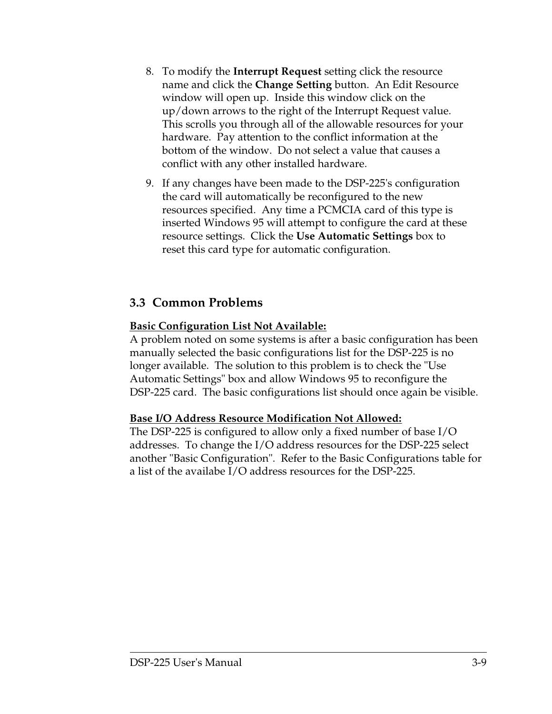- 8. To modify the **Interrupt Request** setting click the resource name and click the **Change Setting** button. An Edit Resource window will open up. Inside this window click on the up/down arrows to the right of the Interrupt Request value. This scrolls you through all of the allowable resources for your hardware. Pay attention to the conflict information at the bottom of the window. Do not select a value that causes a conflict with any other installed hardware.
- 9. If any changes have been made to the DSP-225's configuration the card will automatically be reconfigured to the new resources specified. Any time a PCMCIA card of this type is inserted Windows 95 will attempt to configure the card at these resource settings. Click the **Use Automatic Settings** box to reset this card type for automatic configuration.

#### **3.3 Common Problems**

#### **Basic Configuration List Not Available:**

A problem noted on some systems is after a basic configuration has been manually selected the basic configurations list for the DSP-225 is no longer available. The solution to this problem is to check the "Use Automatic Settings" box and allow Windows 95 to reconfigure the DSP-225 card. The basic configurations list should once again be visible.

#### **Base I/O Address Resource Modification Not Allowed:**

The DSP-225 is configured to allow only a fixed number of base I/O addresses. To change the I/O address resources for the DSP-225 select another "Basic Configuration". Refer to the Basic Configurations table for a list of the availabe I/O address resources for the DSP-225.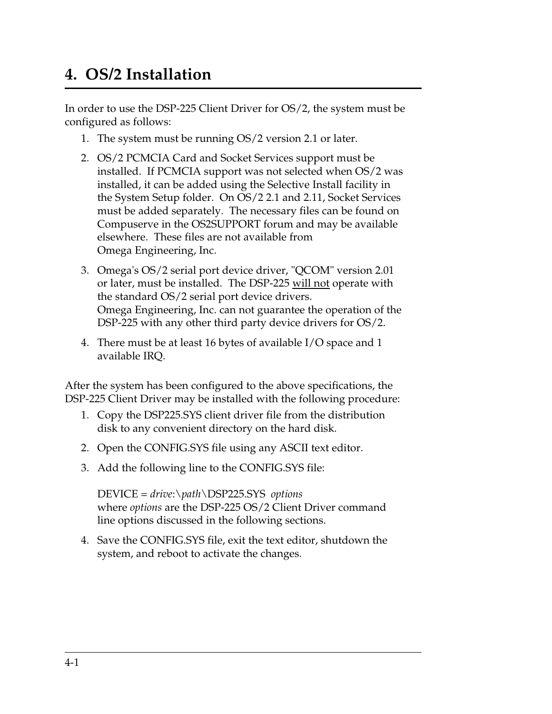# **4. OS/2 Installation**

In order to use the DSP-225 Client Driver for OS/2, the system must be configured as follows:

- 1. The system must be running OS/2 version 2.1 or later.
- 2. OS/2 PCMCIA Card and Socket Services support must be installed. If PCMCIA support was not selected when OS/2 was installed, it can be added using the Selective Install facility in the System Setup folder. On OS/2 2.1 and 2.11, Socket Services must be added separately. The necessary files can be found on Compuserve in the OS2SUPPORT forum and may be available elsewhere. These files are not available from Omega Engineering, Inc.
- 3. Omega's OS/2 serial port device driver, "QCOM" version 2.01 or later, must be installed. The DSP-225 will not operate with the standard OS/2 serial port device drivers. Omega Engineering, Inc. can not guarantee the operation of the DSP-225 with any other third party device drivers for OS/2.
- 4. There must be at least 16 bytes of available I/O space and 1 available IRQ.

After the system has been configured to the above specifications, the DSP-225 Client Driver may be installed with the following procedure:

- 1. Copy the DSP225.SYS client driver file from the distribution disk to any convenient directory on the hard disk.
- 2. Open the CONFIG.SYS file using any ASCII text editor.
- 3. Add the following line to the CONFIG.SYS file:

DEVICE = *drive*:\*path*\DSP225.SYS *options* where *options* are the DSP-225 OS/2 Client Driver command line options discussed in the following sections.

4. Save the CONFIG.SYS file, exit the text editor, shutdown the system, and reboot to activate the changes.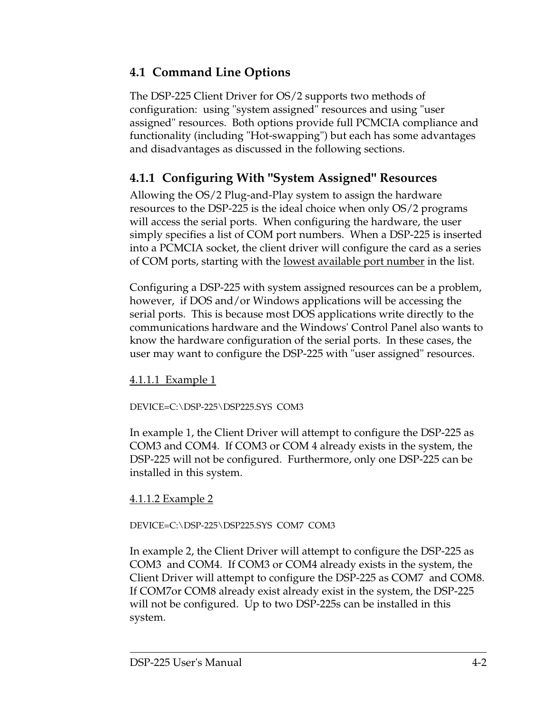### **4.1 Command Line Options**

The DSP-225 Client Driver for OS/2 supports two methods of configuration: using "system assigned" resources and using "user assigned" resources. Both options provide full PCMCIA compliance and functionality (including "Hot-swapping") but each has some advantages and disadvantages as discussed in the following sections.

### **4.1.1 Configuring With "System Assigned" Resources**

Allowing the OS/2 Plug-and-Play system to assign the hardware resources to the DSP-225 is the ideal choice when only OS/2 programs will access the serial ports. When configuring the hardware, the user simply specifies a list of COM port numbers. When a DSP-225 is inserted into a PCMCIA socket, the client driver will configure the card as a series of COM ports, starting with the <u>lowest available port number</u> in the list.

Configuring a DSP-225 with system assigned resources can be a problem, however, if DOS and/or Windows applications will be accessing the serial ports. This is because most DOS applications write directly to the communications hardware and the Windows' Control Panel also wants to know the hardware configuration of the serial ports. In these cases, the user may want to configure the DSP-225 with "user assigned" resources.

4.1.1.1 Example 1

DEVICE=C:\DSP-225\DSP225.SYS COM3

In example 1, the Client Driver will attempt to configure the DSP-225 as COM3 and COM4. If COM3 or COM 4 already exists in the system, the DSP-225 will not be configured. Furthermore, only one DSP-225 can be installed in this system.

#### 4.1.1.2 Example 2

#### DEVICE=C:\DSP-225\DSP225.SYS COM7 COM3

In example 2, the Client Driver will attempt to configure the DSP-225 as COM3 and COM4. If COM3 or COM4 already exists in the system, the Client Driver will attempt to configure the DSP-225 as COM7 and COM8. If COM7or COM8 already exist already exist in the system, the DSP-225 will not be configured. Up to two DSP-225s can be installed in this system.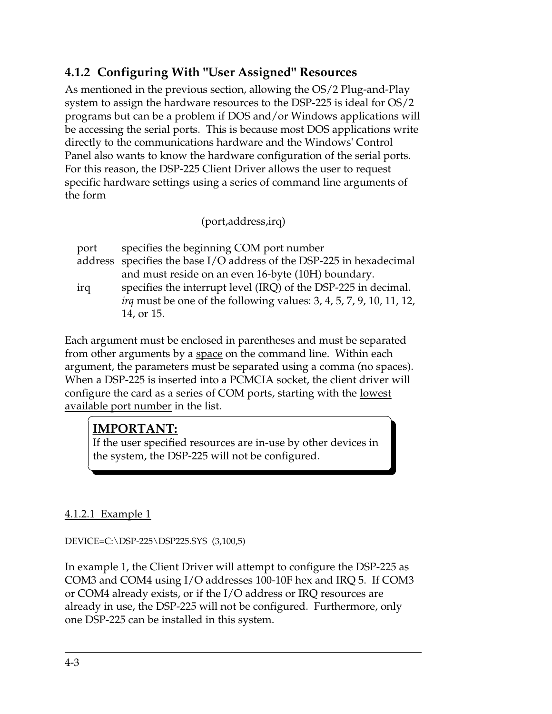### **4.1.2 Configuring With "User Assigned" Resources**

As mentioned in the previous section, allowing the OS/2 Plug-and-Play system to assign the hardware resources to the DSP-225 is ideal for OS/2 programs but can be a problem if DOS and/or Windows applications will be accessing the serial ports. This is because most DOS applications write directly to the communications hardware and the Windows' Control Panel also wants to know the hardware configuration of the serial ports. For this reason, the DSP-225 Client Driver allows the user to request specific hardware settings using a series of command line arguments of the form

(port,address,irq)

| port | specifies the beginning COM port number                                       |
|------|-------------------------------------------------------------------------------|
|      | address specifies the base I/O address of the DSP-225 in hexadecimal          |
|      | and must reside on an even 16-byte (10H) boundary.                            |
| irq  | specifies the interrupt level (IRQ) of the DSP-225 in decimal.                |
|      | <i>irq</i> must be one of the following values: $3, 4, 5, 7, 9, 10, 11, 12$ , |
|      | 14, or 15.                                                                    |

Each argument must be enclosed in parentheses and must be separated from other arguments by a space on the command line. Within each argument, the parameters must be separated using a comma (no spaces). When a DSP-225 is inserted into a PCMCIA socket, the client driver will configure the card as a series of COM ports, starting with the lowest available port number in the list.

### **IMPORTANT:**

If the user specified resources are in-use by other devices in the system, the DSP-225 will not be configured.

#### 4.1.2.1 Example 1

DEVICE=C:\DSP-225\DSP225.SYS (3,100,5)

In example 1, the Client Driver will attempt to configure the DSP-225 as COM3 and COM4 using I/O addresses 100-10F hex and IRQ 5. If COM3 or COM4 already exists, or if the I/O address or IRQ resources are already in use, the DSP-225 will not be configured. Furthermore, only one DSP-225 can be installed in this system.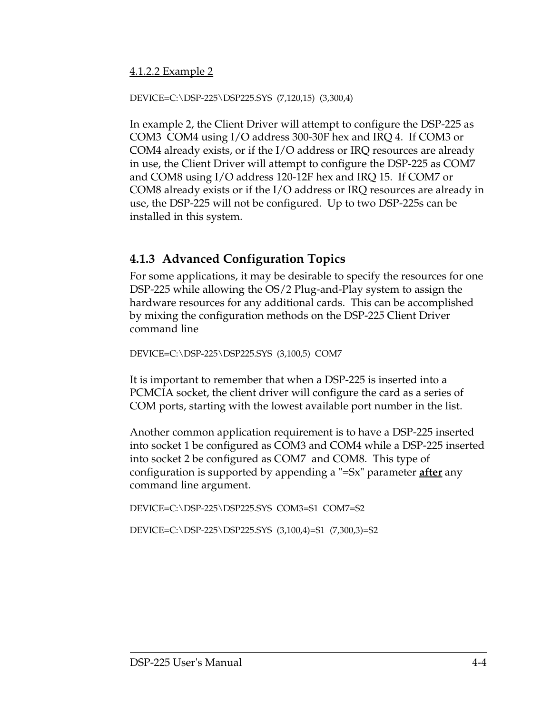#### 4.1.2.2 Example 2

DEVICE=C:\DSP-225\DSP225.SYS (7,120,15) (3,300,4)

In example 2, the Client Driver will attempt to configure the DSP-225 as COM3 COM4 using I/O address 300-30F hex and IRQ 4. If COM3 or COM4 already exists, or if the I/O address or IRQ resources are already in use, the Client Driver will attempt to configure the DSP-225 as COM7 and COM8 using I/O address 120-12F hex and IRQ 15. If COM7 or COM8 already exists or if the I/O address or IRQ resources are already in use, the DSP-225 will not be configured. Up to two DSP-225s can be installed in this system.

### **4.1.3 Advanced Configuration Topics**

For some applications, it may be desirable to specify the resources for one DSP-225 while allowing the OS/2 Plug-and-Play system to assign the hardware resources for any additional cards. This can be accomplished by mixing the configuration methods on the DSP-225 Client Driver command line

DEVICE=C:\DSP-225\DSP225.SYS (3,100,5) COM7

It is important to remember that when a DSP-225 is inserted into a PCMCIA socket, the client driver will configure the card as a series of COM ports, starting with the lowest available port number in the list.

Another common application requirement is to have a DSP-225 inserted into socket 1 be configured as COM3 and COM4 while a DSP-225 inserted into socket 2 be configured as COM7 and COM8. This type of configuration is supported by appending a "=Sx" parameter **after** any command line argument.

DEVICE=C:\DSP-225\DSP225.SYS COM3=S1 COM7=S2

DEVICE=C:\DSP-225\DSP225.SYS (3,100,4)=S1 (7,300,3)=S2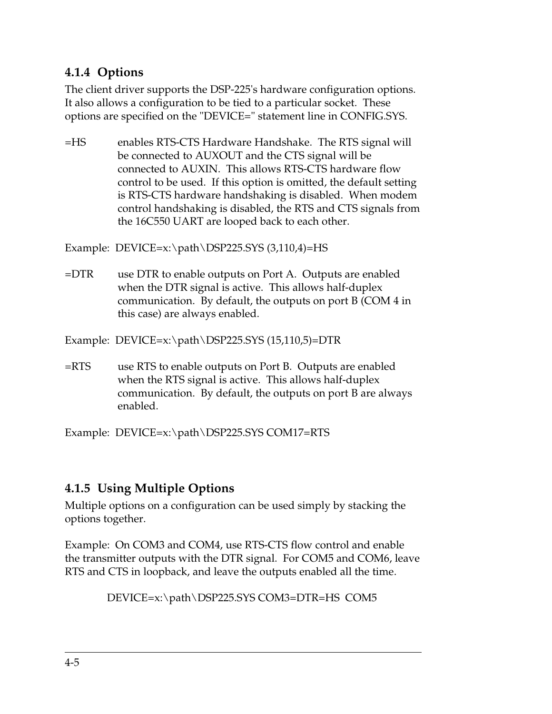### **4.1.4 Options**

The client driver supports the DSP-225's hardware configuration options. It also allows a configuration to be tied to a particular socket. These options are specified on the "DEVICE=" statement line in CONFIG.SYS.

=HS enables RTS-CTS Hardware Handshake. The RTS signal will be connected to AUXOUT and the CTS signal will be connected to AUXIN. This allows RTS-CTS hardware flow control to be used. If this option is omitted, the default setting is RTS-CTS hardware handshaking is disabled. When modem control handshaking is disabled, the RTS and CTS signals from the 16C550 UART are looped back to each other.

Example: DEVICE=x:\path\DSP225.SYS (3,110,4)=HS

=DTR use DTR to enable outputs on Port A. Outputs are enabled when the DTR signal is active. This allows half-duplex communication. By default, the outputs on port B (COM 4 in this case) are always enabled.

Example: DEVICE=x:\path\DSP225.SYS (15,110,5)=DTR

=RTS use RTS to enable outputs on Port B. Outputs are enabled when the RTS signal is active. This allows half-duplex communication. By default, the outputs on port B are always enabled.

Example: DEVICE=x:\path\DSP225.SYS COM17=RTS

### **4.1.5 Using Multiple Options**

Multiple options on a configuration can be used simply by stacking the options together.

Example: On COM3 and COM4, use RTS-CTS flow control and enable the transmitter outputs with the DTR signal. For COM5 and COM6, leave RTS and CTS in loopback, and leave the outputs enabled all the time.

DEVICE=x:\path\DSP225.SYS COM3=DTR=HS COM5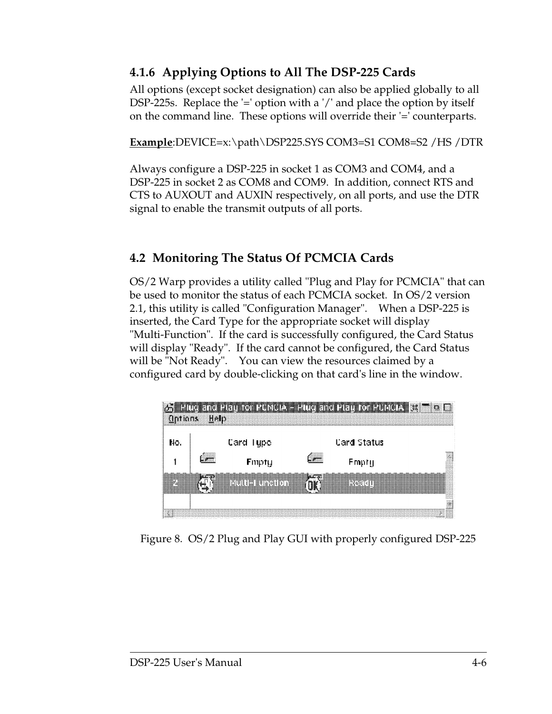### **4.1.6 Applying Options to All The DSP-225 Cards**

All options (except socket designation) can also be applied globally to all DSP-225s. Replace the '=' option with a '/' and place the option by itself on the command line. These options will override their '=' counterparts.

**Example**:DEVICE=x:\path\DSP225.SYS COM3=S1 COM8=S2 /HS /DTR

Always configure a DSP-225 in socket 1 as COM3 and COM4, and a DSP-225 in socket 2 as COM8 and COM9. In addition, connect RTS and CTS to AUXOUT and AUXIN respectively, on all ports, and use the DTR signal to enable the transmit outputs of all ports.

### **4.2 Monitoring The Status Of PCMCIA Cards**

OS/2 Warp provides a utility called "Plug and Play for PCMCIA" that can be used to monitor the status of each PCMCIA socket. In OS/2 version 2.1, this utility is called "Configuration Manager". When a DSP-225 is inserted, the Card Type for the appropriate socket will display "Multi-Function". If the card is successfully configured, the Card Status will display "Ready". If the card cannot be configured, the Card Status will be "Not Ready". You can view the resources claimed by a configured card by double-clicking on that card's line in the window.



Figure 8. OS/2 Plug and Play GUI with properly configured DSP-225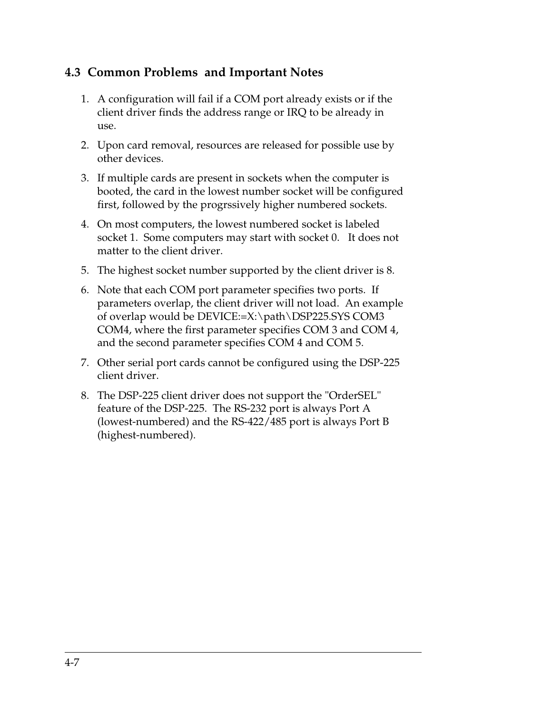#### **4.3 Common Problems and Important Notes**

- 1. A configuration will fail if a COM port already exists or if the client driver finds the address range or IRQ to be already in use.
- 2. Upon card removal, resources are released for possible use by other devices.
- 3. If multiple cards are present in sockets when the computer is booted, the card in the lowest number socket will be configured first, followed by the progrssively higher numbered sockets.
- 4. On most computers, the lowest numbered socket is labeled socket 1. Some computers may start with socket 0. It does not matter to the client driver.
- 5. The highest socket number supported by the client driver is 8.
- 6. Note that each COM port parameter specifies two ports. If parameters overlap, the client driver will not load. An example of overlap would be DEVICE:=X:\path\DSP225.SYS COM3 COM4, where the first parameter specifies COM 3 and COM 4, and the second parameter specifies COM 4 and COM 5.
- 7. Other serial port cards cannot be configured using the DSP-225 client driver.
- 8. The DSP-225 client driver does not support the "OrderSEL" feature of the DSP-225. The RS-232 port is always Port A (lowest-numbered) and the RS-422/485 port is always Port B (highest-numbered).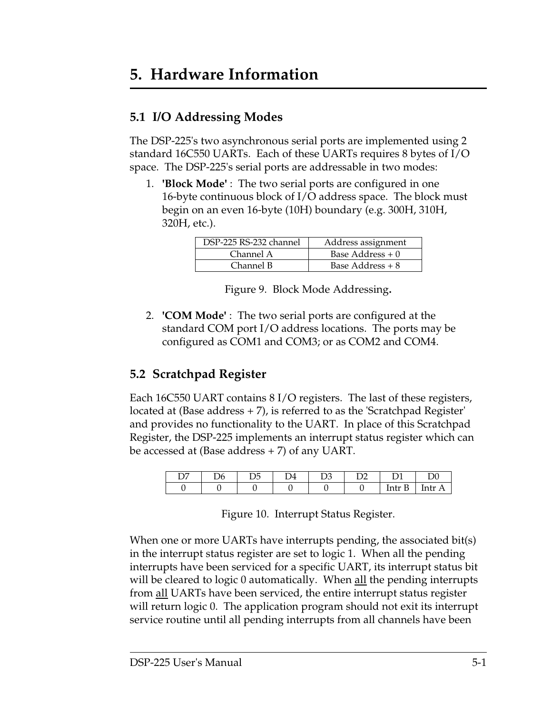### **5.1 I/O Addressing Modes**

The DSP-225's two asynchronous serial ports are implemented using 2 standard 16C550 UARTs. Each of these UARTs requires 8 bytes of I/O space. The DSP-225's serial ports are addressable in two modes:

1. **'Block Mode'** : The two serial ports are configured in one 16-byte continuous block of I/O address space. The block must begin on an even 16-byte (10H) boundary (e.g. 300H, 310H, 320H, etc.).

| DSP-225 RS-232 channel | Address assignment |
|------------------------|--------------------|
| Channel A              | Base Address $+0$  |
| Channel B              | Base Address $+8$  |

Figure 9. Block Mode Addressing**.**

2. **'COM Mode'** : The two serial ports are configured at the standard COM port I/O address locations. The ports may be configured as COM1 and COM3; or as COM2 and COM4.

### **5.2 Scratchpad Register**

Each 16C550 UART contains 8 I/O registers. The last of these registers, located at (Base address + 7), is referred to as the 'Scratchpad Register' and provides no functionality to the UART. In place of this Scratchpad Register, the DSP-225 implements an interrupt status register which can be accessed at (Base address + 7) of any UART.

| . JF |  | )? |          | λſ        |
|------|--|----|----------|-----------|
|      |  |    | Intr<br> | ntr.<br>A |

Figure 10. Interrupt Status Register.

When one or more UARTs have interrupts pending, the associated bit(s) in the interrupt status register are set to logic 1. When all the pending interrupts have been serviced for a specific UART, its interrupt status bit will be cleared to logic 0 automatically. When  $\underline{\text{all}}$  the pending interrupts from all UARTs have been serviced, the entire interrupt status register will return logic 0. The application program should not exit its interrupt service routine until all pending interrupts from all channels have been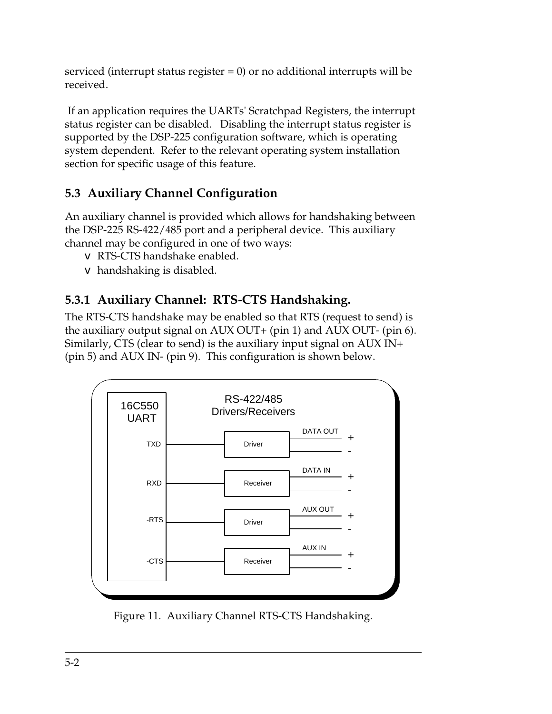serviced (interrupt status register  $= 0$ ) or no additional interrupts will be received.

 If an application requires the UARTs' Scratchpad Registers, the interrupt status register can be disabled. Disabling the interrupt status register is supported by the DSP-225 configuration software, which is operating system dependent. Refer to the relevant operating system installation section for specific usage of this feature.

### **5.3 Auxiliary Channel Configuration**

An auxiliary channel is provided which allows for handshaking between the DSP-225 RS-422/485 port and a peripheral device. This auxiliary channel may be configured in one of two ways:

- v RTS-CTS handshake enabled.
- v handshaking is disabled.

### **5.3.1 Auxiliary Channel: RTS-CTS Handshaking.**

The RTS-CTS handshake may be enabled so that RTS (request to send) is the auxiliary output signal on AUX OUT+ (pin 1) and AUX OUT- (pin 6). Similarly, CTS (clear to send) is the auxiliary input signal on AUX IN+ (pin 5) and AUX IN- (pin 9). This configuration is shown below.



Figure 11. Auxiliary Channel RTS-CTS Handshaking.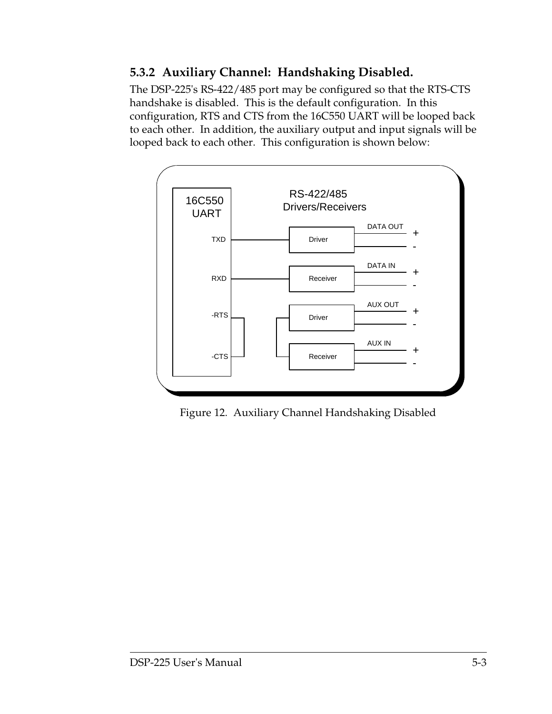### **5.3.2 Auxiliary Channel: Handshaking Disabled.**

The DSP-225's RS-422/485 port may be configured so that the RTS-CTS handshake is disabled. This is the default configuration. In this configuration, RTS and CTS from the 16C550 UART will be looped back to each other. In addition, the auxiliary output and input signals will be looped back to each other. This configuration is shown below:



Figure 12. Auxiliary Channel Handshaking Disabled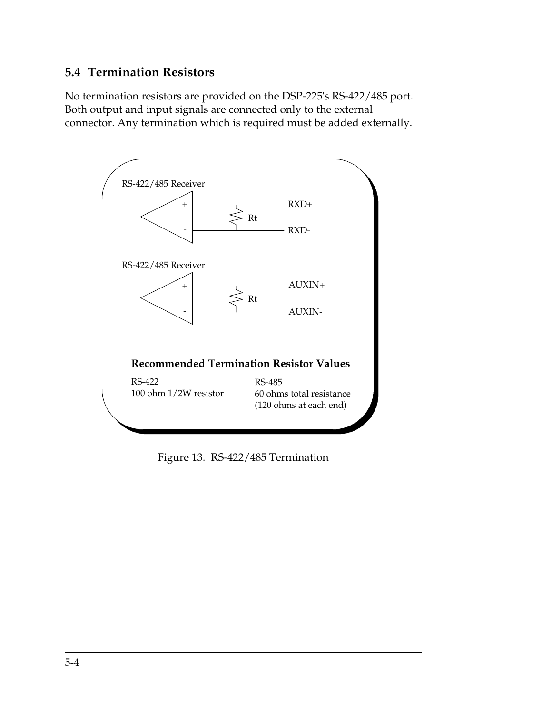### **5.4 Termination Resistors**

No termination resistors are provided on the DSP-225's RS-422/485 port. Both output and input signals are connected only to the external connector. Any termination which is required must be added externally.



Figure 13. RS-422/485 Termination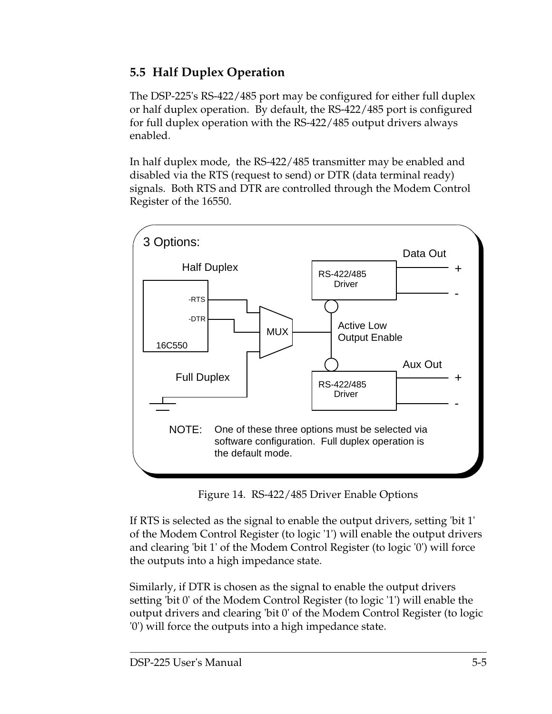### **5.5 Half Duplex Operation**

The DSP-225's RS-422/485 port may be configured for either full duplex or half duplex operation. By default, the RS-422/485 port is configured for full duplex operation with the RS-422/485 output drivers always enabled.

In half duplex mode, the RS-422/485 transmitter may be enabled and disabled via the RTS (request to send) or DTR (data terminal ready) signals. Both RTS and DTR are controlled through the Modem Control Register of the 16550.



Figure 14. RS-422/485 Driver Enable Options

If RTS is selected as the signal to enable the output drivers, setting 'bit 1' of the Modem Control Register (to logic '1') will enable the output drivers and clearing 'bit 1' of the Modem Control Register (to logic '0') will force the outputs into a high impedance state.

Similarly, if DTR is chosen as the signal to enable the output drivers setting 'bit 0' of the Modem Control Register (to logic '1') will enable the output drivers and clearing 'bit 0' of the Modem Control Register (to logic '0') will force the outputs into a high impedance state.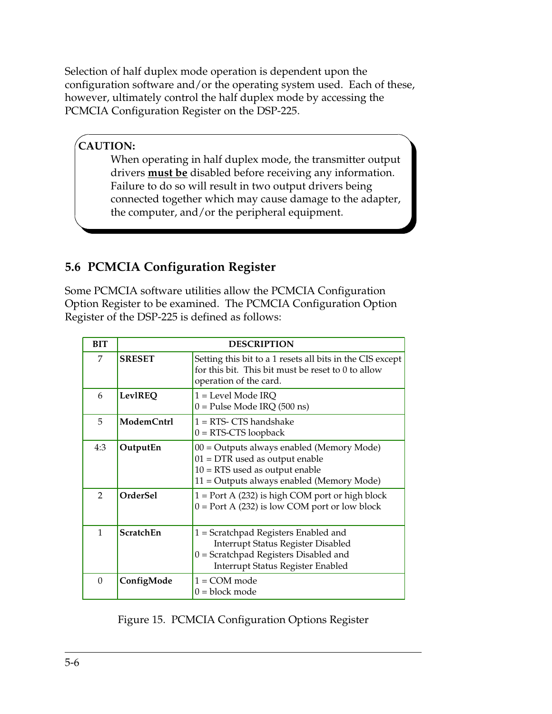Selection of half duplex mode operation is dependent upon the configuration software and/or the operating system used. Each of these, however, ultimately control the half duplex mode by accessing the PCMCIA Configuration Register on the DSP-225.

#### **CAUTION:**

When operating in half duplex mode, the transmitter output drivers **must be** disabled before receiving any information. Failure to do so will result in two output drivers being connected together which may cause damage to the adapter, the computer, and/or the peripheral equipment.

### **5.6 PCMCIA Configuration Register**

Some PCMCIA software utilities allow the PCMCIA Configuration Option Register to be examined. The PCMCIA Configuration Option Register of the DSP-225 is defined as follows:

| <b>BIT</b>     | <b>DESCRIPTION</b> |                                                                                                                                                                   |  |  |
|----------------|--------------------|-------------------------------------------------------------------------------------------------------------------------------------------------------------------|--|--|
| 7              | <b>SRESET</b>      | Setting this bit to a 1 resets all bits in the CIS except<br>for this bit. This bit must be reset to $0$ to allow<br>operation of the card.                       |  |  |
| 6              | LevlREQ            | $1 = Level Mode IRQ$<br>$0 =$ Pulse Mode IRQ (500 ns)                                                                                                             |  |  |
| 5              | ModemCntrl         | $1 = RTS$ - CTS handshake<br>$0 = RTS-CTS$ loopback                                                                                                               |  |  |
| 4:3            | OutputEn           | $00 =$ Outputs always enabled (Memory Mode)<br>$01 = DTR$ used as output enable<br>$10 = RTS$ used as output enable<br>11 = Outputs always enabled (Memory Mode)  |  |  |
| $\overline{2}$ | OrderSel           | $1 =$ Port A (232) is high COM port or high block<br>$0 =$ Port A (232) is low COM port or low block                                                              |  |  |
| 1              | <b>ScratchEn</b>   | 1 = Scratchpad Registers Enabled and<br>Interrupt Status Register Disabled<br>$0 =$ Scratchpad Registers Disabled and<br><b>Interrupt Status Register Enabled</b> |  |  |
| $\Omega$       | ConfigMode         | $1 = COM$ mode<br>$0 = block mode$                                                                                                                                |  |  |

Figure 15. PCMCIA Configuration Options Register